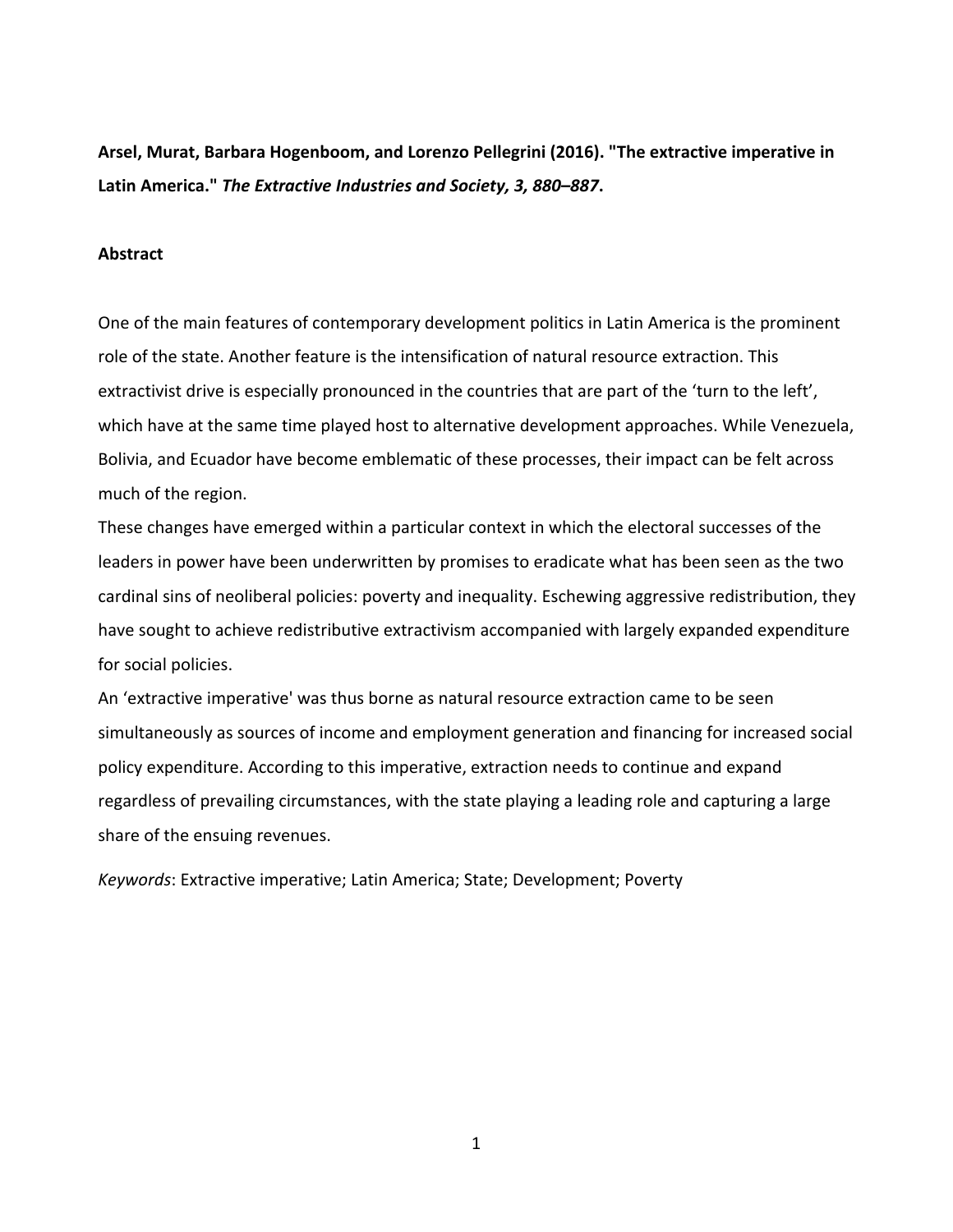**Arsel, Murat, Barbara Hogenboom, and Lorenzo Pellegrini (2016). "The extractive imperative in Latin America."** *The Extractive Industries and Society, 3, 880–887***.** 

#### **Abstract**

One of the main features of contemporary development politics in Latin America is the prominent role of the state. Another feature is the intensification of natural resource extraction. This extractivist drive is especially pronounced in the countries that are part of the 'turn to the left', which have at the same time played host to alternative development approaches. While Venezuela, Bolivia, and Ecuador have become emblematic of these processes, their impact can be felt across much of the region.

These changes have emerged within a particular context in which the electoral successes of the leaders in power have been underwritten by promises to eradicate what has been seen as the two cardinal sins of neoliberal policies: poverty and inequality. Eschewing aggressive redistribution, they have sought to achieve redistributive extractivism accompanied with largely expanded expenditure for social policies.

An 'extractive imperative' was thus borne as natural resource extraction came to be seen simultaneously as sources of income and employment generation and financing for increased social policy expenditure. According to this imperative, extraction needs to continue and expand regardless of prevailing circumstances, with the state playing a leading role and capturing a large share of the ensuing revenues.

*Keywords*: Extractive imperative; Latin America; State; Development; Poverty

1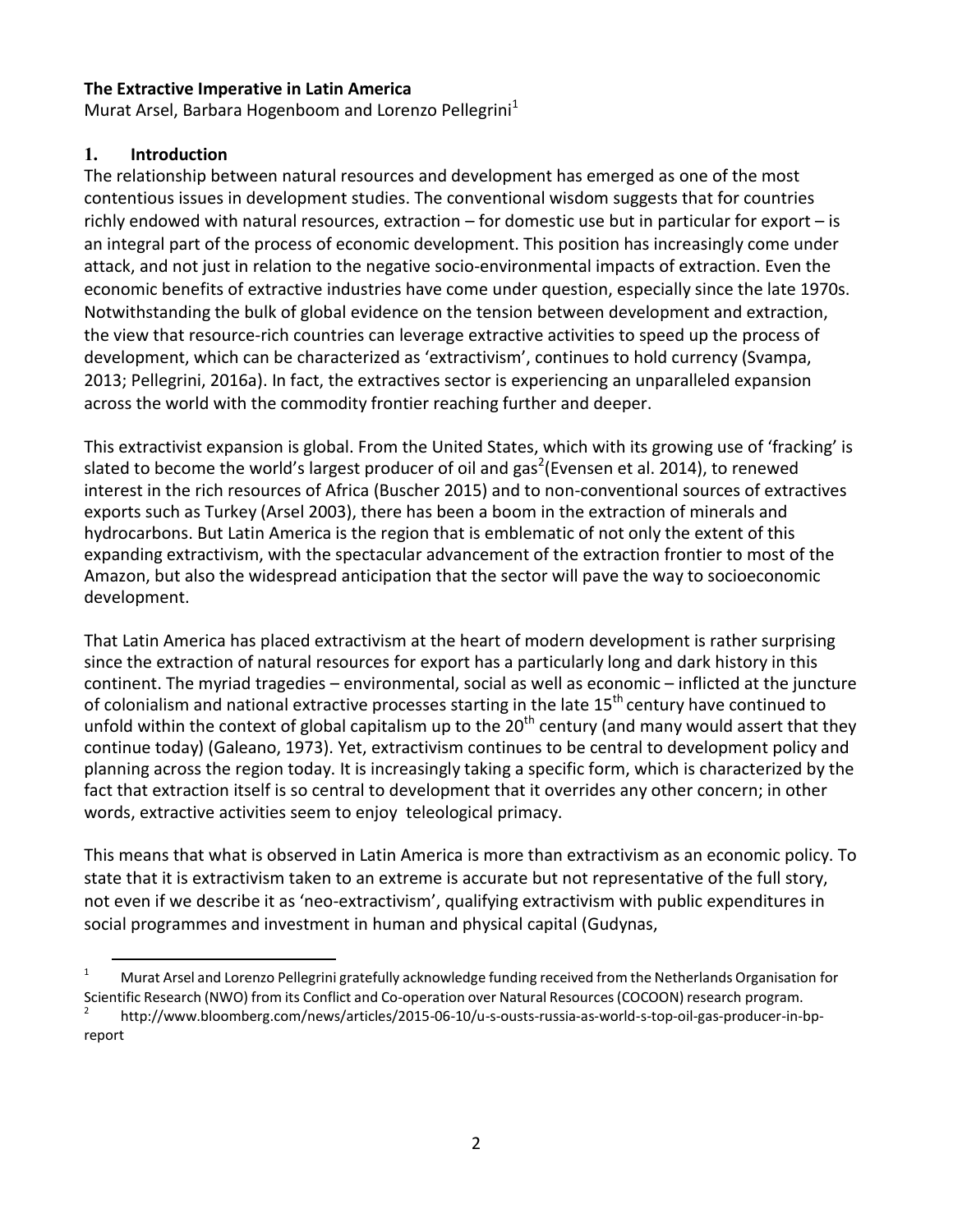#### **The Extractive Imperative in Latin America**

Murat Arsel, Barbara Hogenboom and Lorenzo Pellegrini<sup>1</sup>

#### **1. Introduction**

The relationship between natural resources and development has emerged as one of the most contentious issues in development studies. The conventional wisdom suggests that for countries richly endowed with natural resources, extraction – for domestic use but in particular for export – is an integral part of the process of economic development. This position has increasingly come under attack, and not just in relation to the negative socio‐environmental impacts of extraction. Even the economic benefits of extractive industries have come under question, especially since the late 1970s. Notwithstanding the bulk of global evidence on the tension between development and extraction, the view that resource‐rich countries can leverage extractive activities to speed up the process of development, which can be characterized as 'extractivism', continues to hold currency (Svampa, 2013; Pellegrini, 2016a). In fact, the extractives sector is experiencing an unparalleled expansion across the world with the commodity frontier reaching further and deeper.

This extractivist expansion is global. From the United States, which with its growing use of 'fracking' is slated to become the world's largest producer of oil and gas<sup>2</sup>(Evensen et al. 2014), to renewed interest in the rich resources of Africa (Buscher 2015) and to non‐conventional sources of extractives exports such as Turkey (Arsel 2003), there has been a boom in the extraction of minerals and hydrocarbons. But Latin America is the region that is emblematic of not only the extent of this expanding extractivism, with the spectacular advancement of the extraction frontier to most of the Amazon, but also the widespread anticipation that the sector will pave the way to socioeconomic development.

That Latin America has placed extractivism at the heart of modern development is rather surprising since the extraction of natural resources for export has a particularly long and dark history in this continent. The myriad tragedies – environmental, social as well as economic – inflicted at the juncture of colonialism and national extractive processes starting in the late  $15<sup>th</sup>$  century have continued to unfold within the context of global capitalism up to the  $20<sup>th</sup>$  century (and many would assert that they continue today) (Galeano, 1973). Yet, extractivism continues to be central to development policy and planning across the region today. It is increasingly taking a specific form, which is characterized by the fact that extraction itself is so central to development that it overrides any other concern; in other words, extractive activities seem to enjoy teleological primacy.

This means that what is observed in Latin America is more than extractivism as an economic policy. To state that it is extractivism taken to an extreme is accurate but not representative of the full story, not even if we describe it as 'neo‐extractivism', qualifying extractivism with public expenditures in social programmes and investment in human and physical capital (Gudynas,

<sup>&</sup>lt;sup>1</sup> Murat Arsel and Lorenzo Pellegrini gratefully acknowledge funding received from the Netherlands Organisation for Scientific Research (NWO) from its Conflict and Co‐operation over Natural Resources (COCOON) research program.

http://www.bloomberg.com/news/articles/2015‐06‐10/u‐s‐ousts‐russia‐as‐world‐s‐top‐oil‐gas‐producer‐in‐bp‐ report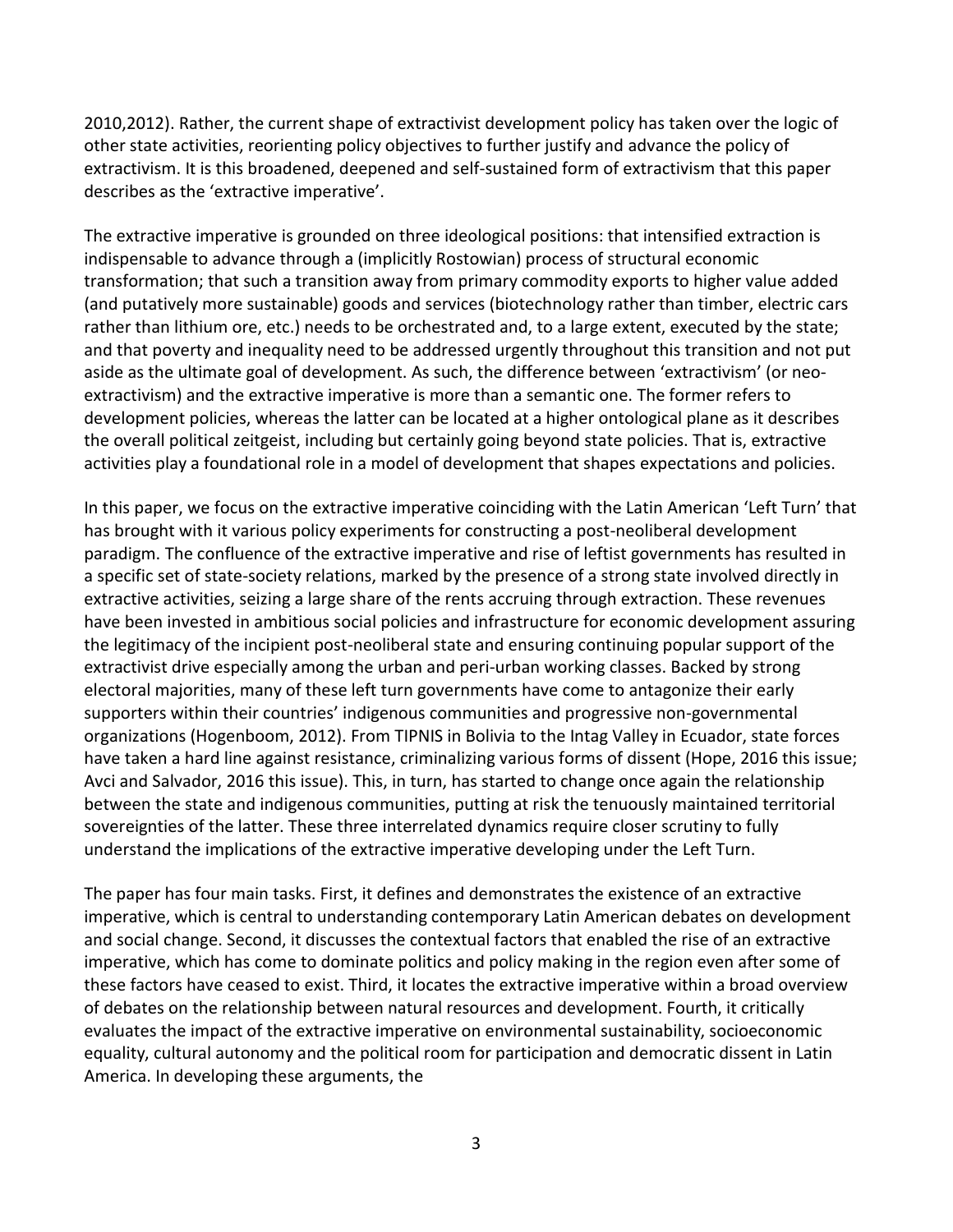2010,2012). Rather, the current shape of extractivist development policy has taken over the logic of other state activities, reorienting policy objectives to further justify and advance the policy of extractivism. It is this broadened, deepened and self‐sustained form of extractivism that this paper describes as the 'extractive imperative'.

The extractive imperative is grounded on three ideological positions: that intensified extraction is indispensable to advance through a (implicitly Rostowian) process of structural economic transformation; that such a transition away from primary commodity exports to higher value added (and putatively more sustainable) goods and services (biotechnology rather than timber, electric cars rather than lithium ore, etc.) needs to be orchestrated and, to a large extent, executed by the state; and that poverty and inequality need to be addressed urgently throughout this transition and not put aside as the ultimate goal of development. As such, the difference between 'extractivism' (or neoextractivism) and the extractive imperative is more than a semantic one. The former refers to development policies, whereas the latter can be located at a higher ontological plane as it describes the overall political zeitgeist, including but certainly going beyond state policies. That is, extractive activities play a foundational role in a model of development that shapes expectations and policies.

In this paper, we focus on the extractive imperative coinciding with the Latin American 'Left Turn' that has brought with it various policy experiments for constructing a post-neoliberal development paradigm. The confluence of the extractive imperative and rise of leftist governments has resulted in a specific set of state‐society relations, marked by the presence of a strong state involved directly in extractive activities, seizing a large share of the rents accruing through extraction. These revenues have been invested in ambitious social policies and infrastructure for economic development assuring the legitimacy of the incipient post‐neoliberal state and ensuring continuing popular support of the extractivist drive especially among the urban and peri-urban working classes. Backed by strong electoral majorities, many of these left turn governments have come to antagonize their early supporters within their countries' indigenous communities and progressive non‐governmental organizations (Hogenboom, 2012). From TIPNIS in Bolivia to the Intag Valley in Ecuador, state forces have taken a hard line against resistance, criminalizing various forms of dissent (Hope, 2016 this issue; Avci and Salvador, 2016 this issue). This, in turn, has started to change once again the relationship between the state and indigenous communities, putting at risk the tenuously maintained territorial sovereignties of the latter. These three interrelated dynamics require closer scrutiny to fully understand the implications of the extractive imperative developing under the Left Turn.

The paper has four main tasks. First, it defines and demonstrates the existence of an extractive imperative, which is central to understanding contemporary Latin American debates on development and social change. Second, it discusses the contextual factors that enabled the rise of an extractive imperative, which has come to dominate politics and policy making in the region even after some of these factors have ceased to exist. Third, it locates the extractive imperative within a broad overview of debates on the relationship between natural resources and development. Fourth, it critically evaluates the impact of the extractive imperative on environmental sustainability, socioeconomic equality, cultural autonomy and the political room for participation and democratic dissent in Latin America. In developing these arguments, the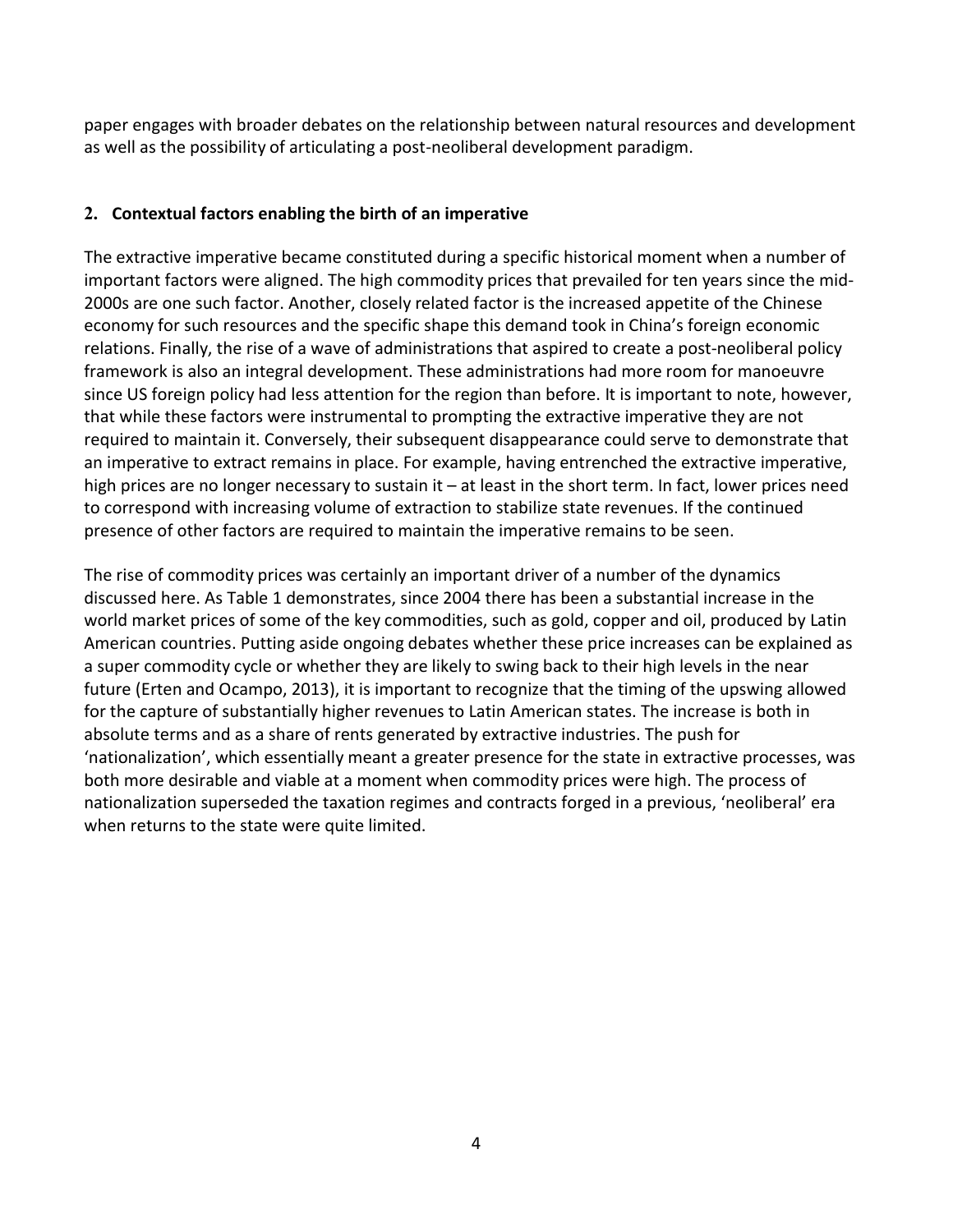paper engages with broader debates on the relationship between natural resources and development as well as the possibility of articulating a post‐neoliberal development paradigm.

#### **2. Contextual factors enabling the birth of an imperative**

The extractive imperative became constituted during a specific historical moment when a number of important factors were aligned. The high commodity prices that prevailed for ten years since the mid-2000s are one such factor. Another, closely related factor is the increased appetite of the Chinese economy for such resources and the specific shape this demand took in China's foreign economic relations. Finally, the rise of a wave of administrations that aspired to create a post‐neoliberal policy framework is also an integral development. These administrations had more room for manoeuvre since US foreign policy had less attention for the region than before. It is important to note, however, that while these factors were instrumental to prompting the extractive imperative they are not required to maintain it. Conversely, their subsequent disappearance could serve to demonstrate that an imperative to extract remains in place. For example, having entrenched the extractive imperative, high prices are no longer necessary to sustain it – at least in the short term. In fact, lower prices need to correspond with increasing volume of extraction to stabilize state revenues. If the continued presence of other factors are required to maintain the imperative remains to be seen.

The rise of commodity prices was certainly an important driver of a number of the dynamics discussed here. As Table 1 demonstrates, since 2004 there has been a substantial increase in the world market prices of some of the key commodities, such as gold, copper and oil, produced by Latin American countries. Putting aside ongoing debates whether these price increases can be explained as a super commodity cycle or whether they are likely to swing back to their high levels in the near future (Erten and Ocampo, 2013), it is important to recognize that the timing of the upswing allowed for the capture of substantially higher revenues to Latin American states. The increase is both in absolute terms and as a share of rents generated by extractive industries. The push for 'nationalization', which essentially meant a greater presence for the state in extractive processes, was both more desirable and viable at a moment when commodity prices were high. The process of nationalization superseded the taxation regimes and contracts forged in a previous, 'neoliberal' era when returns to the state were quite limited.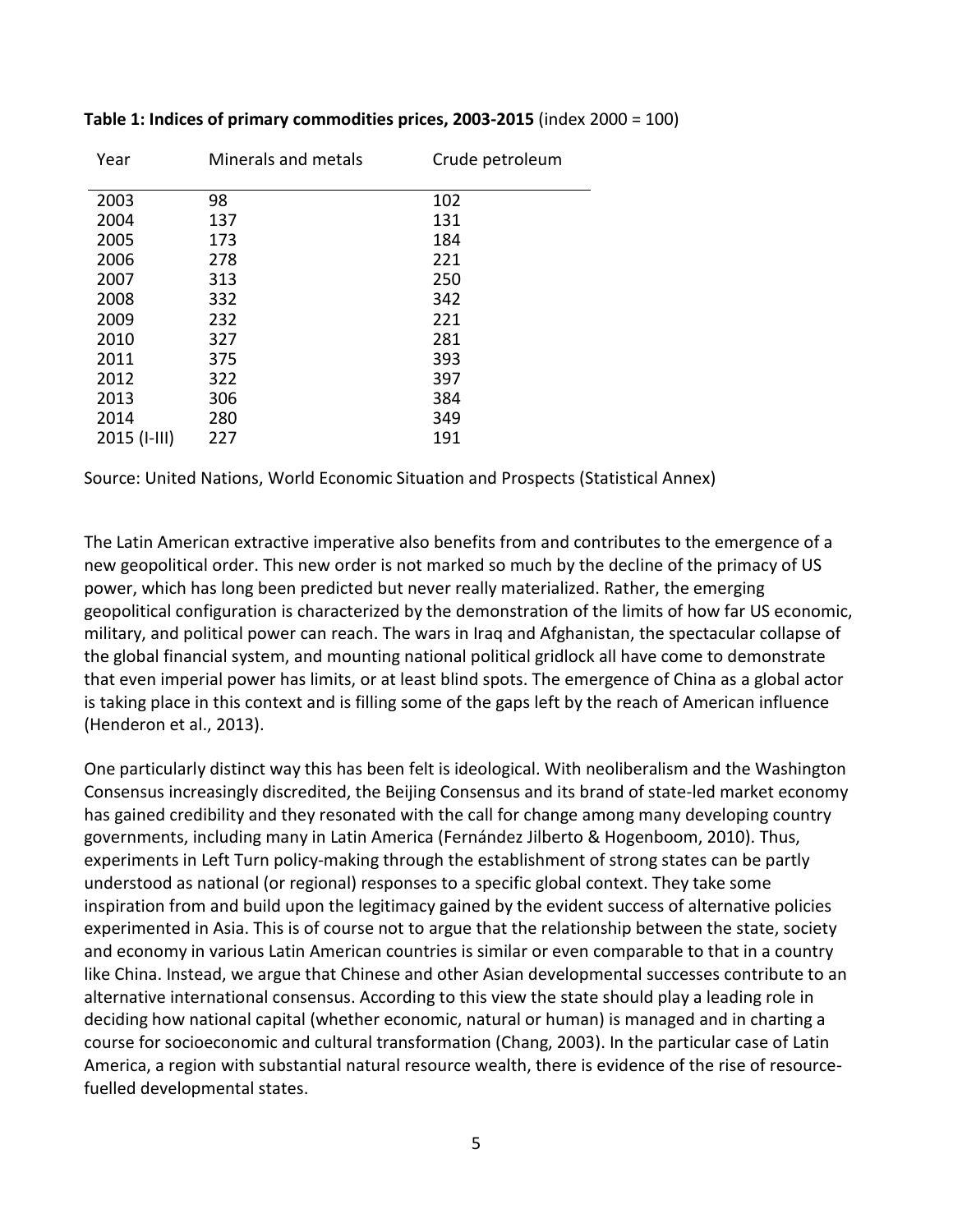| Year         | Minerals and metals | Crude petroleum |
|--------------|---------------------|-----------------|
| 2003         | 98                  | 102             |
| 2004         | 137                 | 131             |
| 2005         | 173                 | 184             |
| 2006         | 278                 | 221             |
| 2007         | 313                 | 250             |
| 2008         | 332                 | 342             |
| 2009         | 232                 | 221             |
| 2010         | 327                 | 281             |
| 2011         | 375                 | 393             |
| 2012         | 322                 | 397             |
| 2013         | 306                 | 384             |
| 2014         | 280                 | 349             |
| 2015 (I-III) | 227                 | 191             |

#### **Table 1: Indices of primary commodities prices, 2003‐2015** (index 2000 = 100)

Source: United Nations, World Economic Situation and Prospects (Statistical Annex)

The Latin American extractive imperative also benefits from and contributes to the emergence of a new geopolitical order. This new order is not marked so much by the decline of the primacy of US power, which has long been predicted but never really materialized. Rather, the emerging geopolitical configuration is characterized by the demonstration of the limits of how far US economic, military, and political power can reach. The wars in Iraq and Afghanistan, the spectacular collapse of the global financial system, and mounting national political gridlock all have come to demonstrate that even imperial power has limits, or at least blind spots. The emergence of China as a global actor is taking place in this context and is filling some of the gaps left by the reach of American influence (Henderon et al., 2013).

One particularly distinct way this has been felt is ideological. With neoliberalism and the Washington Consensus increasingly discredited, the Beijing Consensus and its brand of state‐led market economy has gained credibility and they resonated with the call for change among many developing country governments, including many in Latin America (Fernández Jilberto & Hogenboom, 2010). Thus, experiments in Left Turn policy-making through the establishment of strong states can be partly understood as national (or regional) responses to a specific global context. They take some inspiration from and build upon the legitimacy gained by the evident success of alternative policies experimented in Asia. This is of course not to argue that the relationship between the state, society and economy in various Latin American countries is similar or even comparable to that in a country like China. Instead, we argue that Chinese and other Asian developmental successes contribute to an alternative international consensus. According to this view the state should play a leading role in deciding how national capital (whether economic, natural or human) is managed and in charting a course for socioeconomic and cultural transformation (Chang, 2003). In the particular case of Latin America, a region with substantial natural resource wealth, there is evidence of the rise of resource‐ fuelled developmental states.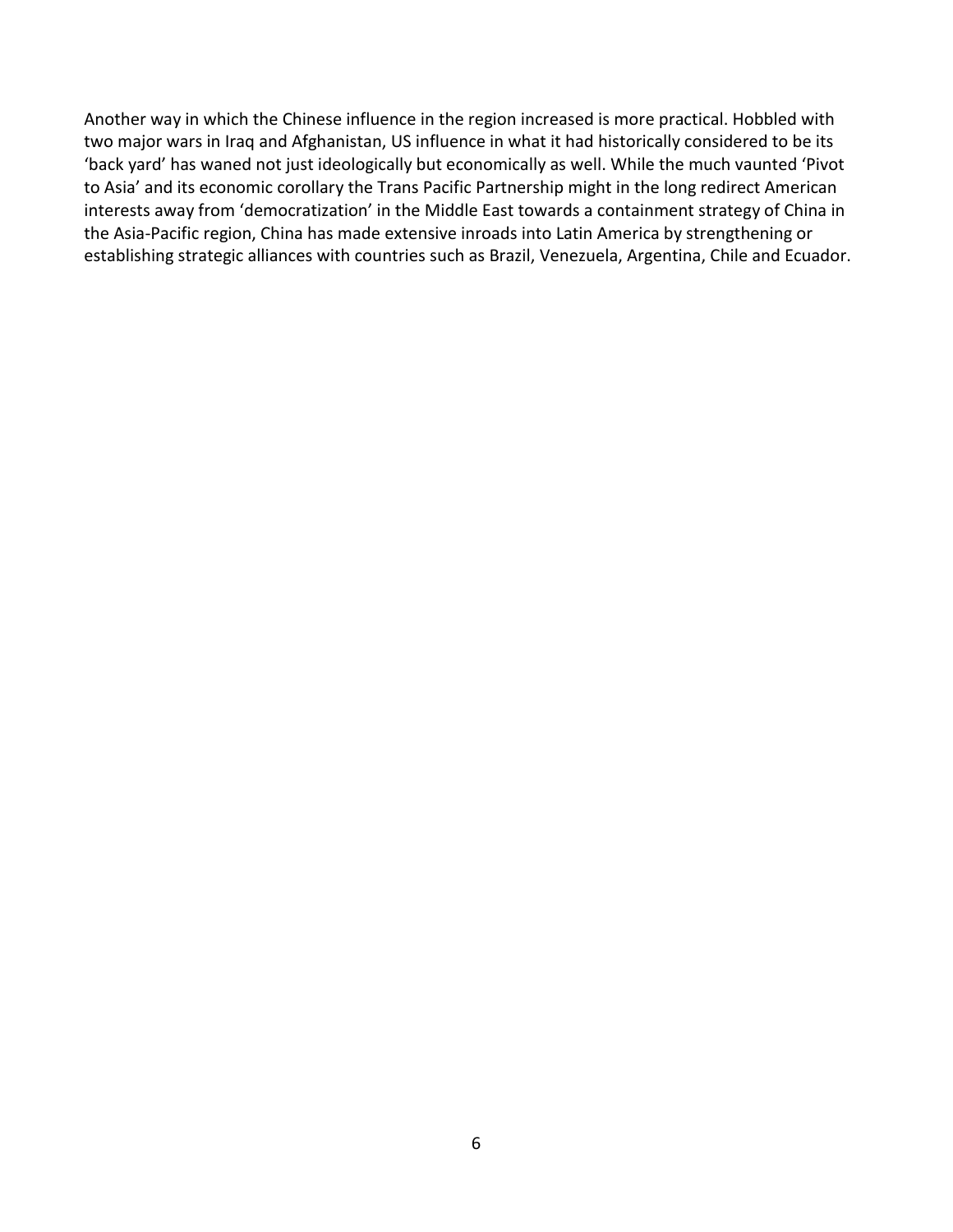Another way in which the Chinese influence in the region increased is more practical. Hobbled with two major wars in Iraq and Afghanistan, US influence in what it had historically considered to be its 'back yard' has waned not just ideologically but economically as well. While the much vaunted 'Pivot to Asia' and its economic corollary the Trans Pacific Partnership might in the long redirect American interests away from 'democratization' in the Middle East towards a containment strategy of China in the Asia‐Pacific region, China has made extensive inroads into Latin America by strengthening or establishing strategic alliances with countries such as Brazil, Venezuela, Argentina, Chile and Ecuador.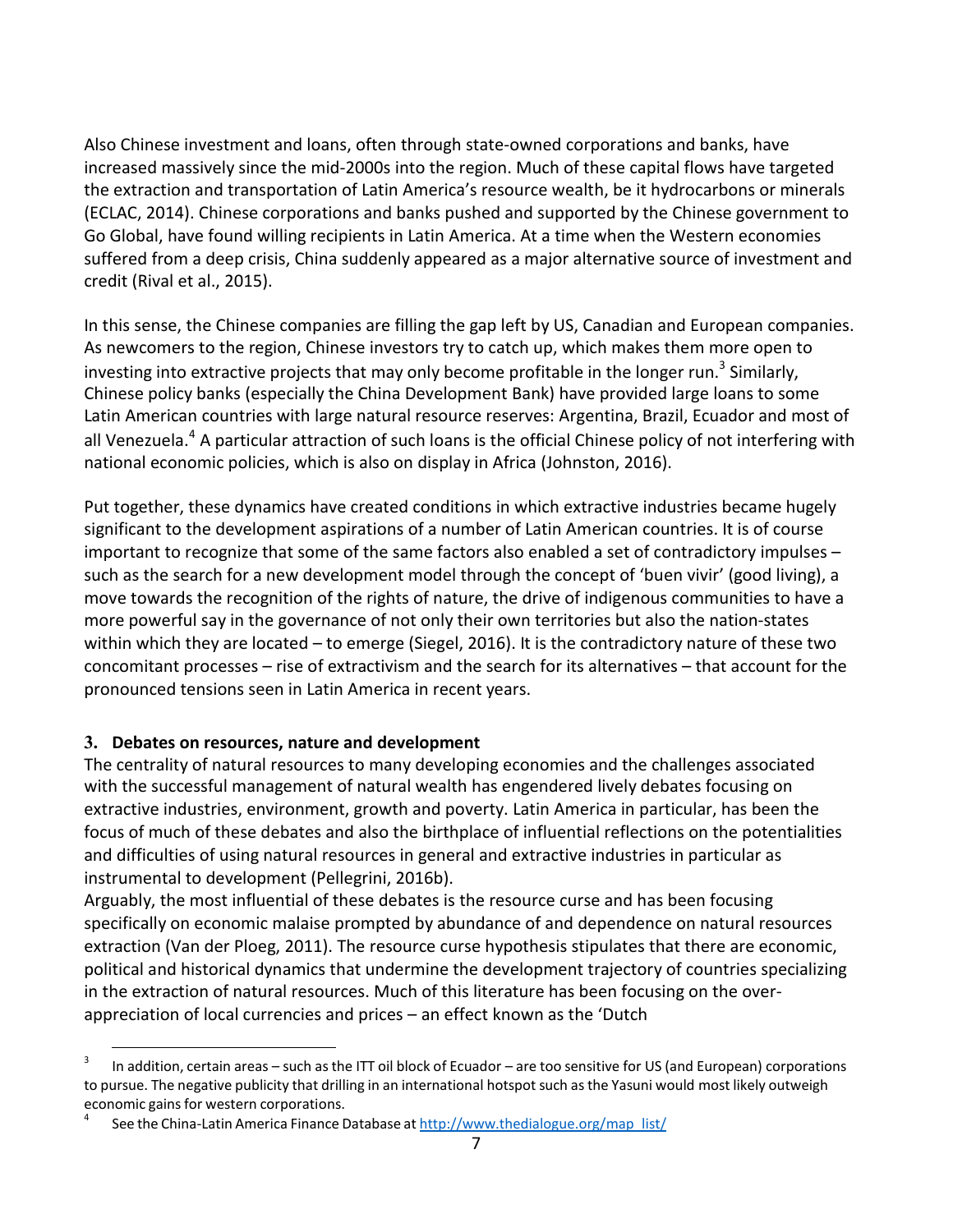Also Chinese investment and loans, often through state‐owned corporations and banks, have increased massively since the mid‐2000s into the region. Much of these capital flows have targeted the extraction and transportation of Latin America's resource wealth, be it hydrocarbons or minerals (ECLAC, 2014). Chinese corporations and banks pushed and supported by the Chinese government to Go Global, have found willing recipients in Latin America. At a time when the Western economies suffered from a deep crisis, China suddenly appeared as a major alternative source of investment and credit (Rival et al., 2015).

In this sense, the Chinese companies are filling the gap left by US, Canadian and European companies. As newcomers to the region, Chinese investors try to catch up, which makes them more open to investing into extractive projects that may only become profitable in the longer run.<sup>3</sup> Similarly, Chinese policy banks (especially the China Development Bank) have provided large loans to some Latin American countries with large natural resource reserves: Argentina, Brazil, Ecuador and most of all Venezuela.<sup>4</sup> A particular attraction of such loans is the official Chinese policy of not interfering with national economic policies, which is also on display in Africa (Johnston, 2016).

Put together, these dynamics have created conditions in which extractive industries became hugely significant to the development aspirations of a number of Latin American countries. It is of course important to recognize that some of the same factors also enabled a set of contradictory impulses – such as the search for a new development model through the concept of 'buen vivir' (good living), a move towards the recognition of the rights of nature, the drive of indigenous communities to have a more powerful say in the governance of not only their own territories but also the nation‐states within which they are located – to emerge (Siegel, 2016). It is the contradictory nature of these two concomitant processes – rise of extractivism and the search for its alternatives – that account for the pronounced tensions seen in Latin America in recent years.

# **3. Debates on resources, nature and development**

The centrality of natural resources to many developing economies and the challenges associated with the successful management of natural wealth has engendered lively debates focusing on extractive industries, environment, growth and poverty. Latin America in particular, has been the focus of much of these debates and also the birthplace of influential reflections on the potentialities and difficulties of using natural resources in general and extractive industries in particular as instrumental to development (Pellegrini, 2016b).

Arguably, the most influential of these debates is the resource curse and has been focusing specifically on economic malaise prompted by abundance of and dependence on natural resources extraction (Van der Ploeg, 2011). The resource curse hypothesis stipulates that there are economic, political and historical dynamics that undermine the development trajectory of countries specializing in the extraction of natural resources. Much of this literature has been focusing on the over‐ appreciation of local currencies and prices – an effect known as the 'Dutch

 $3$  In addition, certain areas – such as the ITT oil block of Ecuador – are too sensitive for US (and European) corporations to pursue. The negative publicity that drilling in an international hotspot such as the Yasuni would most likely outweigh economic gains for western corporations.

See the China-Latin America Finance Database at http://www.thedialogue.org/map\_list/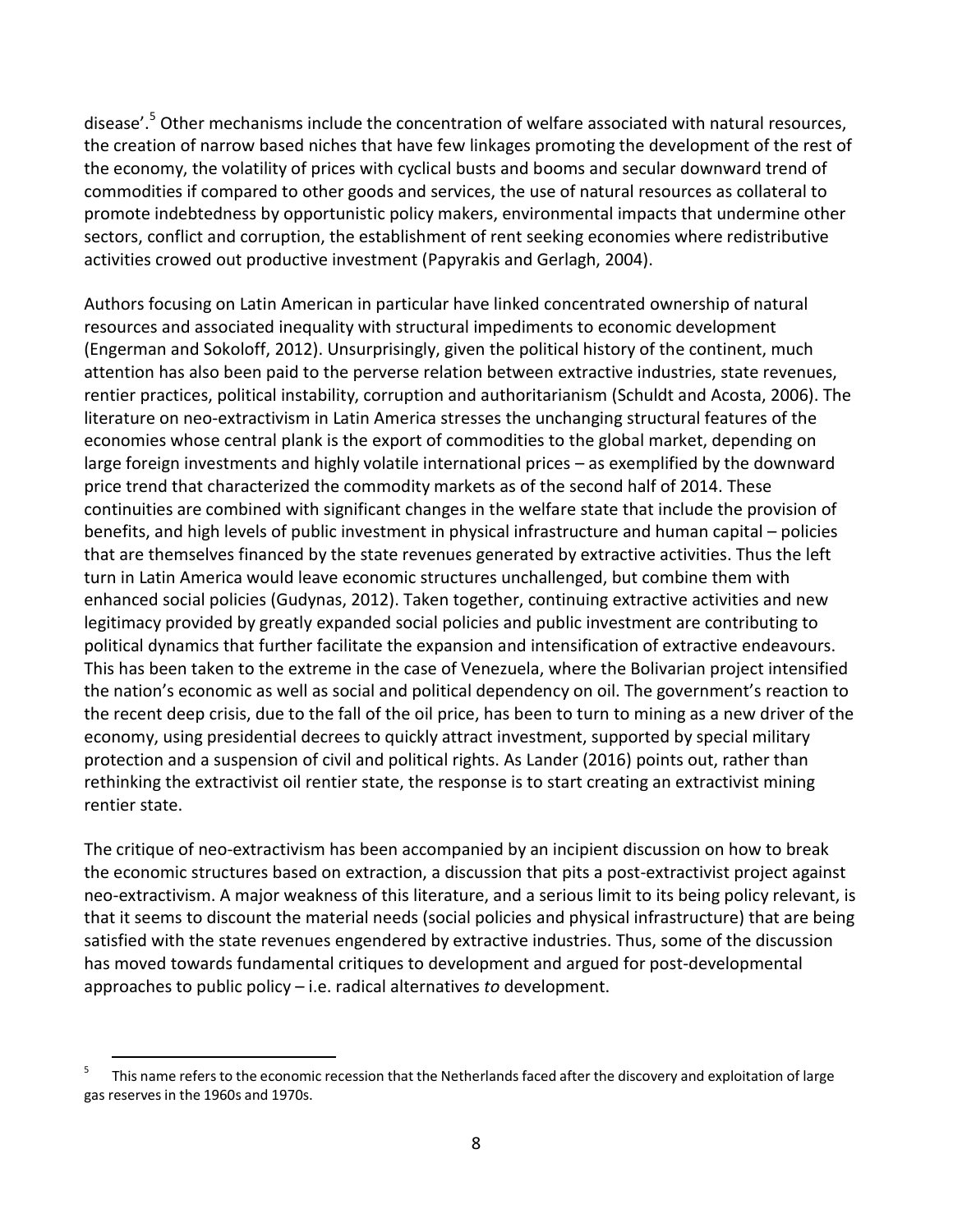disease'.<sup>5</sup> Other mechanisms include the concentration of welfare associated with natural resources, the creation of narrow based niches that have few linkages promoting the development of the rest of the economy, the volatility of prices with cyclical busts and booms and secular downward trend of commodities if compared to other goods and services, the use of natural resources as collateral to promote indebtedness by opportunistic policy makers, environmental impacts that undermine other sectors, conflict and corruption, the establishment of rent seeking economies where redistributive activities crowed out productive investment (Papyrakis and Gerlagh, 2004).

Authors focusing on Latin American in particular have linked concentrated ownership of natural resources and associated inequality with structural impediments to economic development (Engerman and Sokoloff, 2012). Unsurprisingly, given the political history of the continent, much attention has also been paid to the perverse relation between extractive industries, state revenues, rentier practices, political instability, corruption and authoritarianism (Schuldt and Acosta, 2006). The literature on neo‐extractivism in Latin America stresses the unchanging structural features of the economies whose central plank is the export of commodities to the global market, depending on large foreign investments and highly volatile international prices – as exemplified by the downward price trend that characterized the commodity markets as of the second half of 2014. These continuities are combined with significant changes in the welfare state that include the provision of benefits, and high levels of public investment in physical infrastructure and human capital – policies that are themselves financed by the state revenues generated by extractive activities. Thus the left turn in Latin America would leave economic structures unchallenged, but combine them with enhanced social policies (Gudynas, 2012). Taken together, continuing extractive activities and new legitimacy provided by greatly expanded social policies and public investment are contributing to political dynamics that further facilitate the expansion and intensification of extractive endeavours. This has been taken to the extreme in the case of Venezuela, where the Bolivarian project intensified the nation's economic as well as social and political dependency on oil. The government's reaction to the recent deep crisis, due to the fall of the oil price, has been to turn to mining as a new driver of the economy, using presidential decrees to quickly attract investment, supported by special military protection and a suspension of civil and political rights. As Lander (2016) points out, rather than rethinking the extractivist oil rentier state, the response is to start creating an extractivist mining rentier state.

The critique of neo‐extractivism has been accompanied by an incipient discussion on how to break the economic structures based on extraction, a discussion that pits a post-extractivist project against neo-extractivism. A major weakness of this literature, and a serious limit to its being policy relevant, is that it seems to discount the material needs (social policies and physical infrastructure) that are being satisfied with the state revenues engendered by extractive industries. Thus, some of the discussion has moved towards fundamental critiques to development and argued for post‐developmental approaches to public policy – i.e. radical alternatives *to* development.

This name refers to the economic recession that the Netherlands faced after the discovery and exploitation of large gas reserves in the 1960s and 1970s.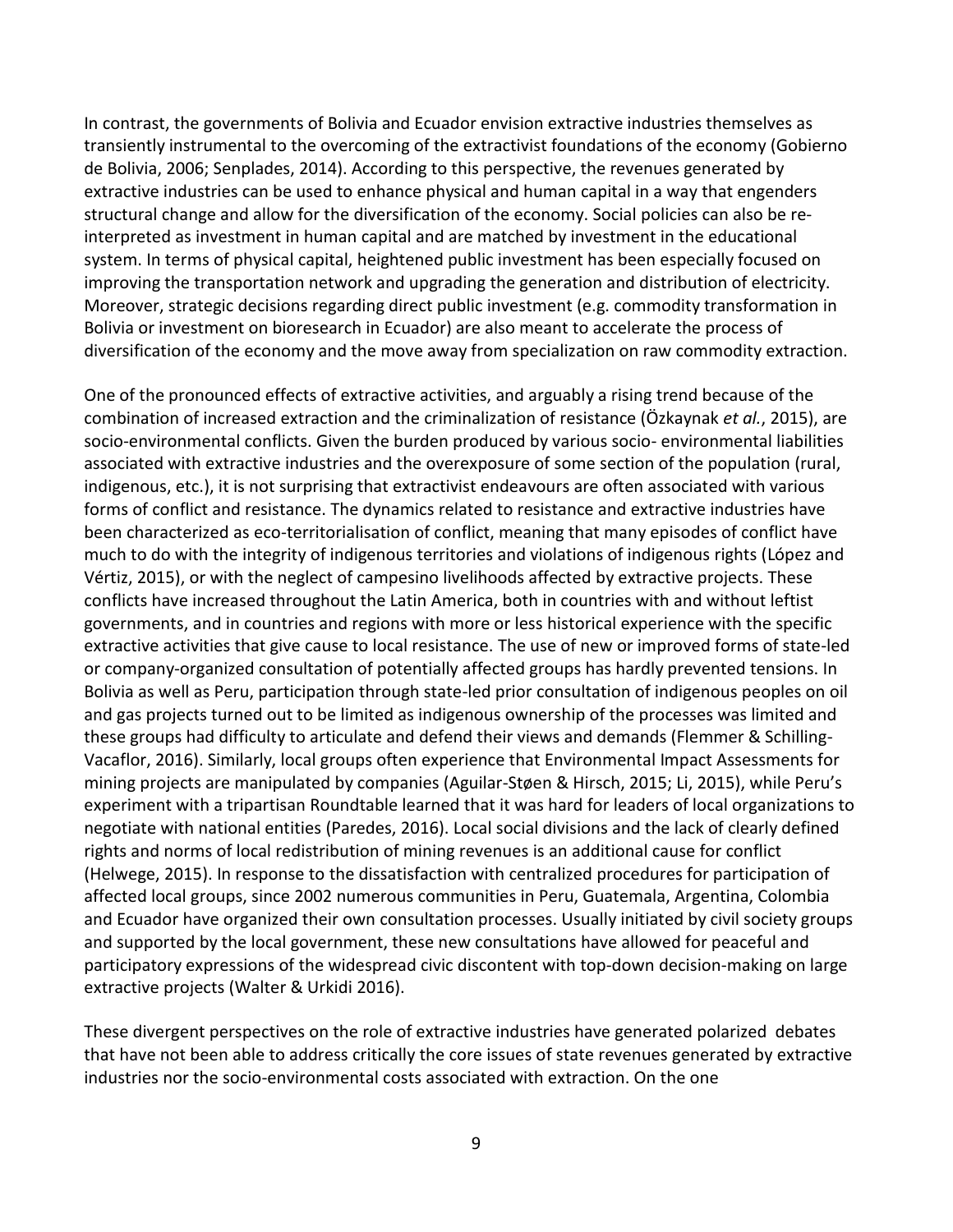In contrast, the governments of Bolivia and Ecuador envision extractive industries themselves as transiently instrumental to the overcoming of the extractivist foundations of the economy (Gobierno de Bolivia, 2006; Senplades, 2014). According to this perspective, the revenues generated by extractive industries can be used to enhance physical and human capital in a way that engenders structural change and allow for the diversification of the economy. Social policies can also be re‐ interpreted as investment in human capital and are matched by investment in the educational system. In terms of physical capital, heightened public investment has been especially focused on improving the transportation network and upgrading the generation and distribution of electricity. Moreover, strategic decisions regarding direct public investment (e.g. commodity transformation in Bolivia or investment on bioresearch in Ecuador) are also meant to accelerate the process of diversification of the economy and the move away from specialization on raw commodity extraction.

One of the pronounced effects of extractive activities, and arguably a rising trend because of the combination of increased extraction and the criminalization of resistance (Özkaynak *et al.*, 2015), are socio-environmental conflicts. Given the burden produced by various socio-environmental liabilities associated with extractive industries and the overexposure of some section of the population (rural, indigenous, etc.), it is not surprising that extractivist endeavours are often associated with various forms of conflict and resistance. The dynamics related to resistance and extractive industries have been characterized as eco-territorialisation of conflict, meaning that many episodes of conflict have much to do with the integrity of indigenous territories and violations of indigenous rights (López and Vértiz, 2015), or with the neglect of campesino livelihoods affected by extractive projects. These conflicts have increased throughout the Latin America, both in countries with and without leftist governments, and in countries and regions with more or less historical experience with the specific extractive activities that give cause to local resistance. The use of new or improved forms of state‐led or company‐organized consultation of potentially affected groups has hardly prevented tensions. In Bolivia as well as Peru, participation through state‐led prior consultation of indigenous peoples on oil and gas projects turned out to be limited as indigenous ownership of the processes was limited and these groups had difficulty to articulate and defend their views and demands (Flemmer & Schilling‐ Vacaflor, 2016). Similarly, local groups often experience that Environmental Impact Assessments for mining projects are manipulated by companies (Aguilar‐Støen & Hirsch, 2015; Li, 2015), while Peru's experiment with a tripartisan Roundtable learned that it was hard for leaders of local organizations to negotiate with national entities (Paredes, 2016). Local social divisions and the lack of clearly defined rights and norms of local redistribution of mining revenues is an additional cause for conflict (Helwege, 2015). In response to the dissatisfaction with centralized procedures for participation of affected local groups, since 2002 numerous communities in Peru, Guatemala, Argentina, Colombia and Ecuador have organized their own consultation processes. Usually initiated by civil society groups and supported by the local government, these new consultations have allowed for peaceful and participatory expressions of the widespread civic discontent with top‐down decision‐making on large extractive projects (Walter & Urkidi 2016).

These divergent perspectives on the role of extractive industries have generated polarized debates that have not been able to address critically the core issues of state revenues generated by extractive industries nor the socio‐environmental costs associated with extraction. On the one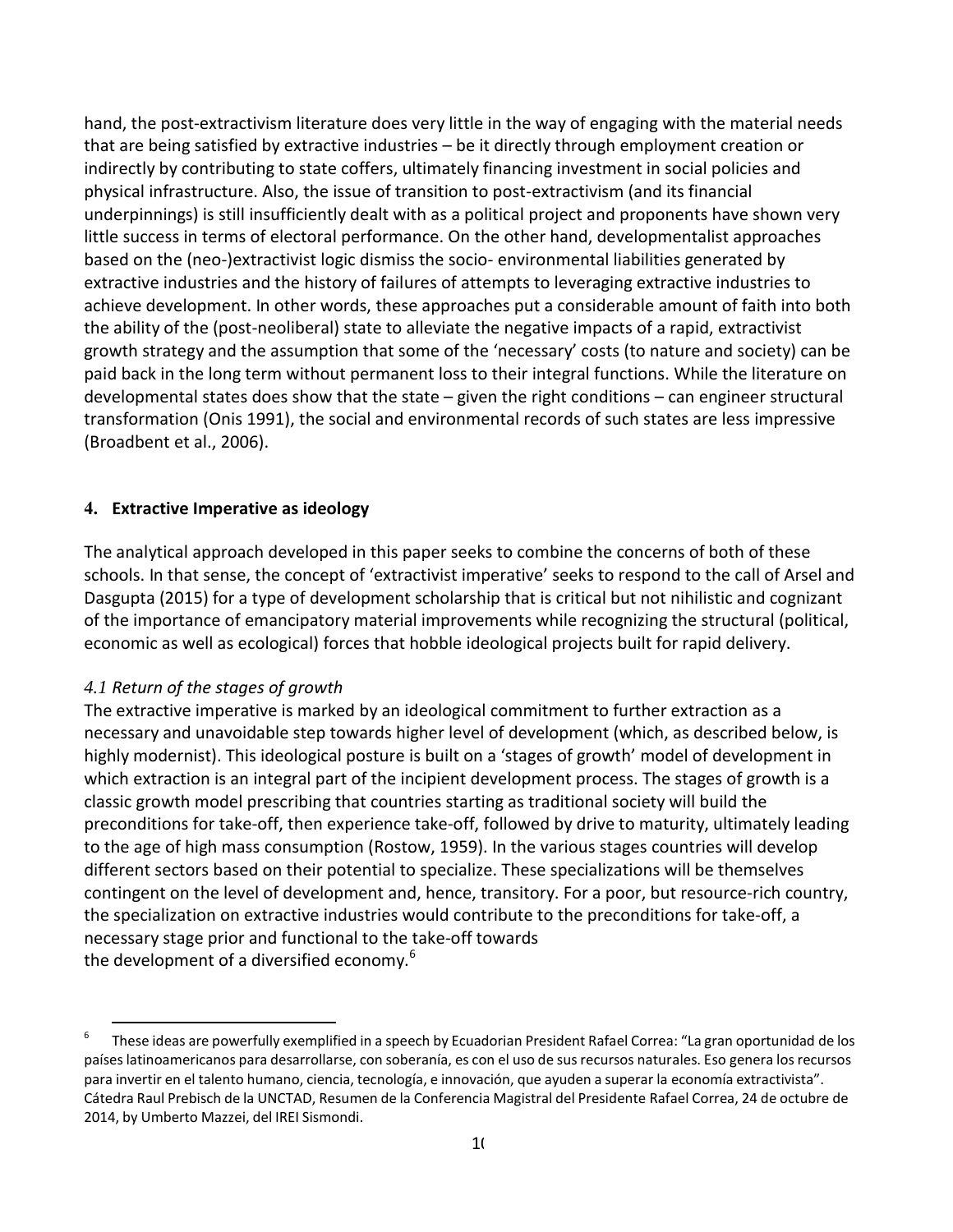hand, the post‐extractivism literature does very little in the way of engaging with the material needs that are being satisfied by extractive industries – be it directly through employment creation or indirectly by contributing to state coffers, ultimately financing investment in social policies and physical infrastructure. Also, the issue of transition to post‐extractivism (and its financial underpinnings) is still insufficiently dealt with as a political project and proponents have shown very little success in terms of electoral performance. On the other hand, developmentalist approaches based on the (neo‐)extractivist logic dismiss the socio‐ environmental liabilities generated by extractive industries and the history of failures of attempts to leveraging extractive industries to achieve development. In other words, these approaches put a considerable amount of faith into both the ability of the (post‐neoliberal) state to alleviate the negative impacts of a rapid, extractivist growth strategy and the assumption that some of the 'necessary' costs (to nature and society) can be paid back in the long term without permanent loss to their integral functions. While the literature on developmental states does show that the state – given the right conditions – can engineer structural transformation (Onis 1991), the social and environmental records of such states are less impressive (Broadbent et al., 2006).

#### **4. Extractive Imperative as ideology**

The analytical approach developed in this paper seeks to combine the concerns of both of these schools. In that sense, the concept of 'extractivist imperative' seeks to respond to the call of Arsel and Dasgupta (2015) for a type of development scholarship that is critical but not nihilistic and cognizant of the importance of emancipatory material improvements while recognizing the structural (political, economic as well as ecological) forces that hobble ideological projects built for rapid delivery.

## *4.1 Return of the stages of growth*

The extractive imperative is marked by an ideological commitment to further extraction as a necessary and unavoidable step towards higher level of development (which, as described below, is highly modernist). This ideological posture is built on a 'stages of growth' model of development in which extraction is an integral part of the incipient development process. The stages of growth is a classic growth model prescribing that countries starting as traditional society will build the preconditions for take‐off, then experience take‐off, followed by drive to maturity, ultimately leading to the age of high mass consumption (Rostow, 1959). In the various stages countries will develop different sectors based on their potential to specialize. These specializations will be themselves contingent on the level of development and, hence, transitory. For a poor, but resource‐rich country, the specialization on extractive industries would contribute to the preconditions for take‐off, a necessary stage prior and functional to the take‐off towards the development of a diversified economy. $6\overline{6}$ 

<sup>&</sup>lt;sup>6</sup> These ideas are powerfully exemplified in a speech by Ecuadorian President Rafael Correa: "La gran oportunidad de los países latinoamericanos para desarrollarse, con soberanía, es con el uso de sus recursos naturales. Eso genera los recursos para invertir en el talento humano, ciencia, tecnología, e innovación, que ayuden a superar la economía extractivista". Cátedra Raul Prebisch de la UNCTAD, Resumen de la Conferencia Magistral del Presidente Rafael Correa, 24 de octubre de 2014, by Umberto Mazzei, del IREI Sismondi.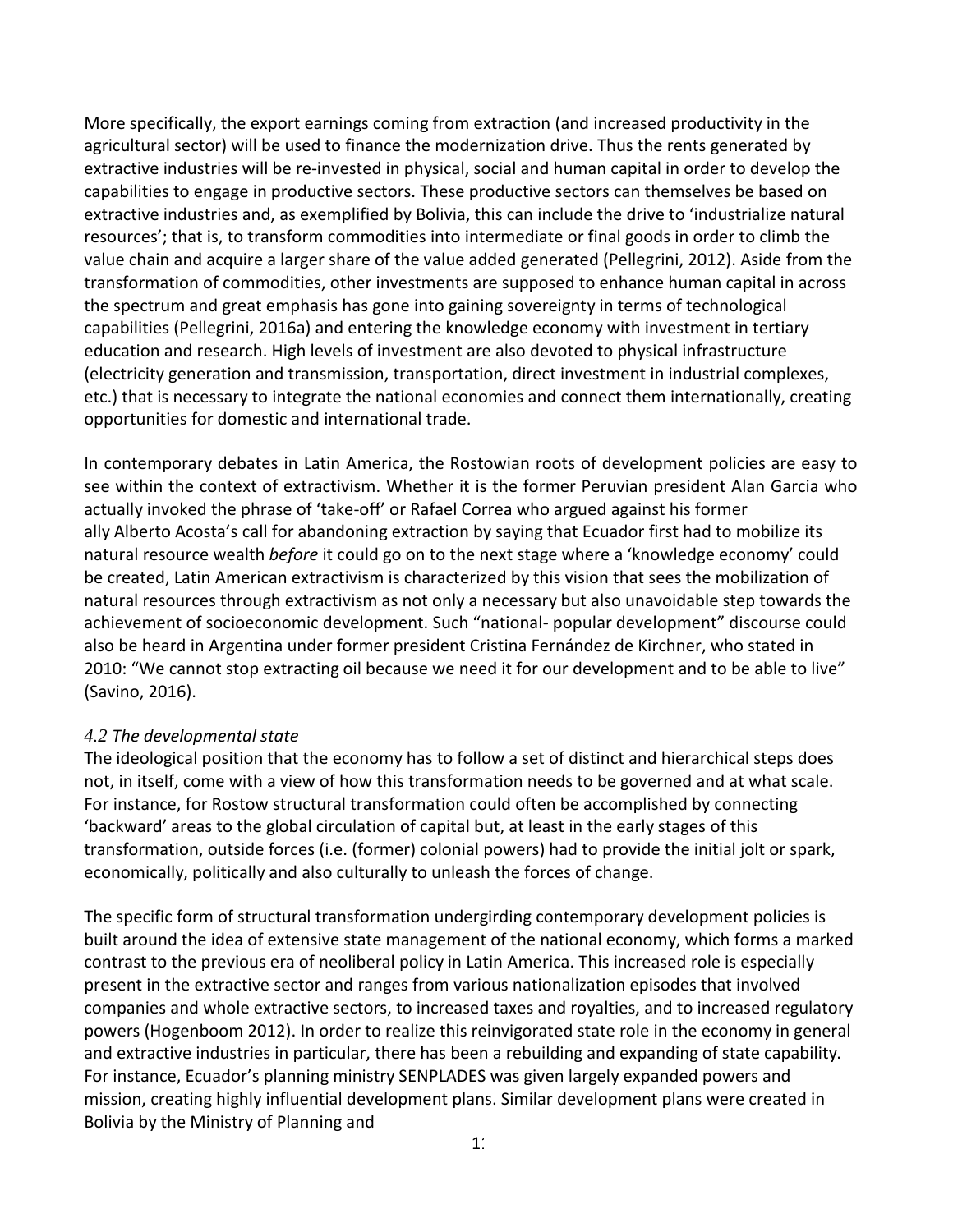More specifically, the export earnings coming from extraction (and increased productivity in the agricultural sector) will be used to finance the modernization drive. Thus the rents generated by extractive industries will be re‐invested in physical, social and human capital in order to develop the capabilities to engage in productive sectors. These productive sectors can themselves be based on extractive industries and, as exemplified by Bolivia, this can include the drive to 'industrialize natural resources'; that is, to transform commodities into intermediate or final goods in order to climb the value chain and acquire a larger share of the value added generated (Pellegrini, 2012). Aside from the transformation of commodities, other investments are supposed to enhance human capital in across the spectrum and great emphasis has gone into gaining sovereignty in terms of technological capabilities (Pellegrini, 2016a) and entering the knowledge economy with investment in tertiary education and research. High levels of investment are also devoted to physical infrastructure (electricity generation and transmission, transportation, direct investment in industrial complexes, etc.) that is necessary to integrate the national economies and connect them internationally, creating opportunities for domestic and international trade.

In contemporary debates in Latin America, the Rostowian roots of development policies are easy to see within the context of extractivism. Whether it is the former Peruvian president Alan Garcia who actually invoked the phrase of 'take‐off' or Rafael Correa who argued against his former ally Alberto Acosta's call for abandoning extraction by saying that Ecuador first had to mobilize its natural resource wealth *before* it could go on to the next stage where a 'knowledge economy' could be created, Latin American extractivism is characterized by this vision that sees the mobilization of natural resources through extractivism as not only a necessary but also unavoidable step towards the achievement of socioeconomic development. Such "national‐ popular development" discourse could also be heard in Argentina under former president Cristina Fernández de Kirchner, who stated in 2010: "We cannot stop extracting oil because we need it for our development and to be able to live" (Savino, 2016).

#### *4.2 The developmental state*

The ideological position that the economy has to follow a set of distinct and hierarchical steps does not, in itself, come with a view of how this transformation needs to be governed and at what scale. For instance, for Rostow structural transformation could often be accomplished by connecting 'backward' areas to the global circulation of capital but, at least in the early stages of this transformation, outside forces (i.e. (former) colonial powers) had to provide the initial jolt or spark, economically, politically and also culturally to unleash the forces of change.

The specific form of structural transformation undergirding contemporary development policies is built around the idea of extensive state management of the national economy, which forms a marked contrast to the previous era of neoliberal policy in Latin America. This increased role is especially present in the extractive sector and ranges from various nationalization episodes that involved companies and whole extractive sectors, to increased taxes and royalties, and to increased regulatory powers (Hogenboom 2012). In order to realize this reinvigorated state role in the economy in general and extractive industries in particular, there has been a rebuilding and expanding of state capability. For instance, Ecuador's planning ministry SENPLADES was given largely expanded powers and mission, creating highly influential development plans. Similar development plans were created in Bolivia by the Ministry of Planning and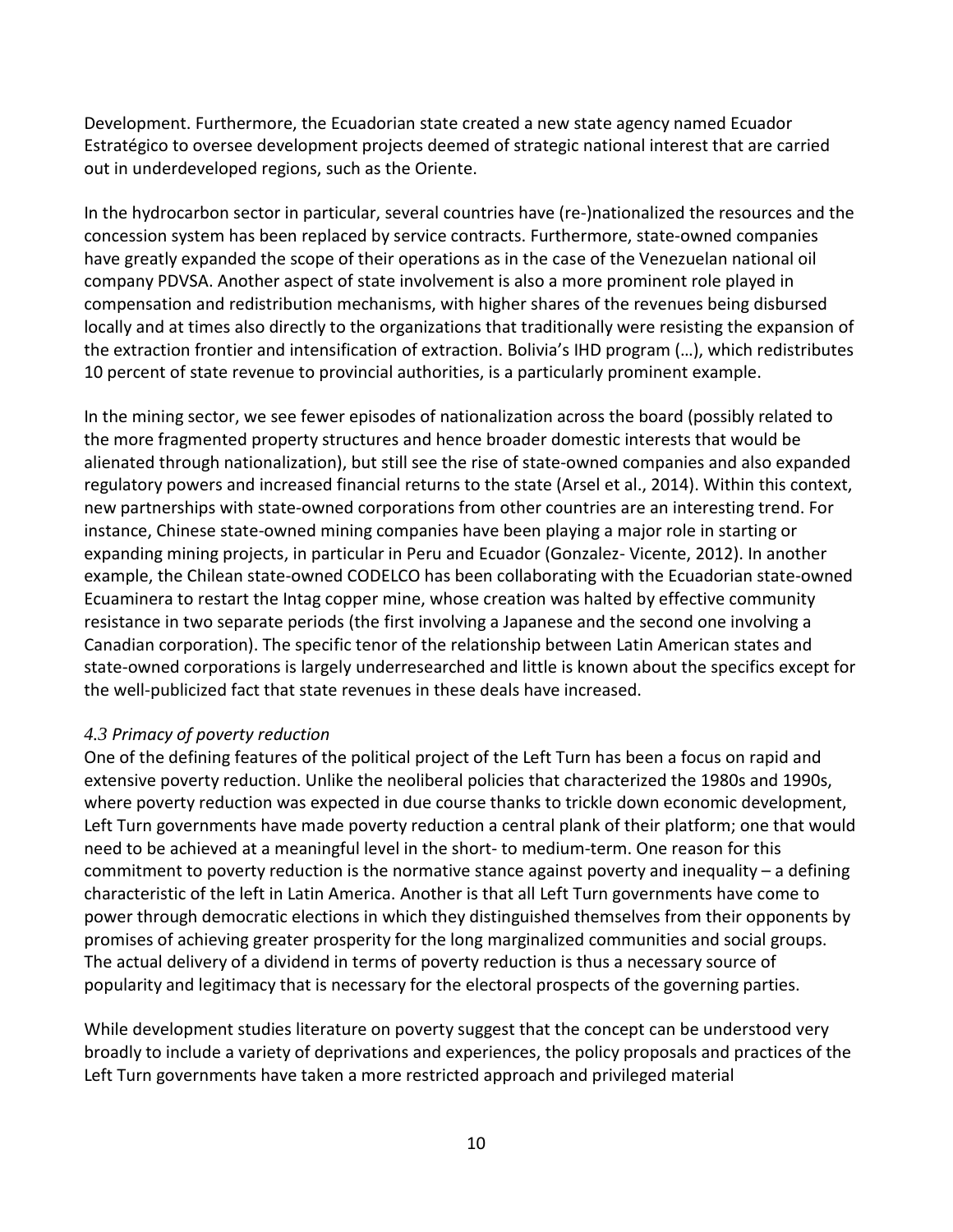Development. Furthermore, the Ecuadorian state created a new state agency named Ecuador Estratégico to oversee development projects deemed of strategic national interest that are carried out in underdeveloped regions, such as the Oriente.

In the hydrocarbon sector in particular, several countries have (re‐)nationalized the resources and the concession system has been replaced by service contracts. Furthermore, state‐owned companies have greatly expanded the scope of their operations as in the case of the Venezuelan national oil company PDVSA. Another aspect of state involvement is also a more prominent role played in compensation and redistribution mechanisms, with higher shares of the revenues being disbursed locally and at times also directly to the organizations that traditionally were resisting the expansion of the extraction frontier and intensification of extraction. Bolivia's IHD program (…), which redistributes 10 percent of state revenue to provincial authorities, is a particularly prominent example.

In the mining sector, we see fewer episodes of nationalization across the board (possibly related to the more fragmented property structures and hence broader domestic interests that would be alienated through nationalization), but still see the rise of state‐owned companies and also expanded regulatory powers and increased financial returns to the state (Arsel et al., 2014). Within this context, new partnerships with state‐owned corporations from other countries are an interesting trend. For instance, Chinese state‐owned mining companies have been playing a major role in starting or expanding mining projects, in particular in Peru and Ecuador (Gonzalez‐ Vicente, 2012). In another example, the Chilean state‐owned CODELCO has been collaborating with the Ecuadorian state‐owned Ecuaminera to restart the Intag copper mine, whose creation was halted by effective community resistance in two separate periods (the first involving a Japanese and the second one involving a Canadian corporation). The specific tenor of the relationship between Latin American states and state‐owned corporations is largely underresearched and little is known about the specifics except for the well‐publicized fact that state revenues in these deals have increased.

## *4.3 Primacy of poverty reduction*

One of the defining features of the political project of the Left Turn has been a focus on rapid and extensive poverty reduction. Unlike the neoliberal policies that characterized the 1980s and 1990s, where poverty reduction was expected in due course thanks to trickle down economic development, Left Turn governments have made poverty reduction a central plank of their platform; one that would need to be achieved at a meaningful level in the short‐ to medium‐term. One reason for this commitment to poverty reduction is the normative stance against poverty and inequality – a defining characteristic of the left in Latin America. Another is that all Left Turn governments have come to power through democratic elections in which they distinguished themselves from their opponents by promises of achieving greater prosperity for the long marginalized communities and social groups. The actual delivery of a dividend in terms of poverty reduction is thus a necessary source of popularity and legitimacy that is necessary for the electoral prospects of the governing parties.

While development studies literature on poverty suggest that the concept can be understood very broadly to include a variety of deprivations and experiences, the policy proposals and practices of the Left Turn governments have taken a more restricted approach and privileged material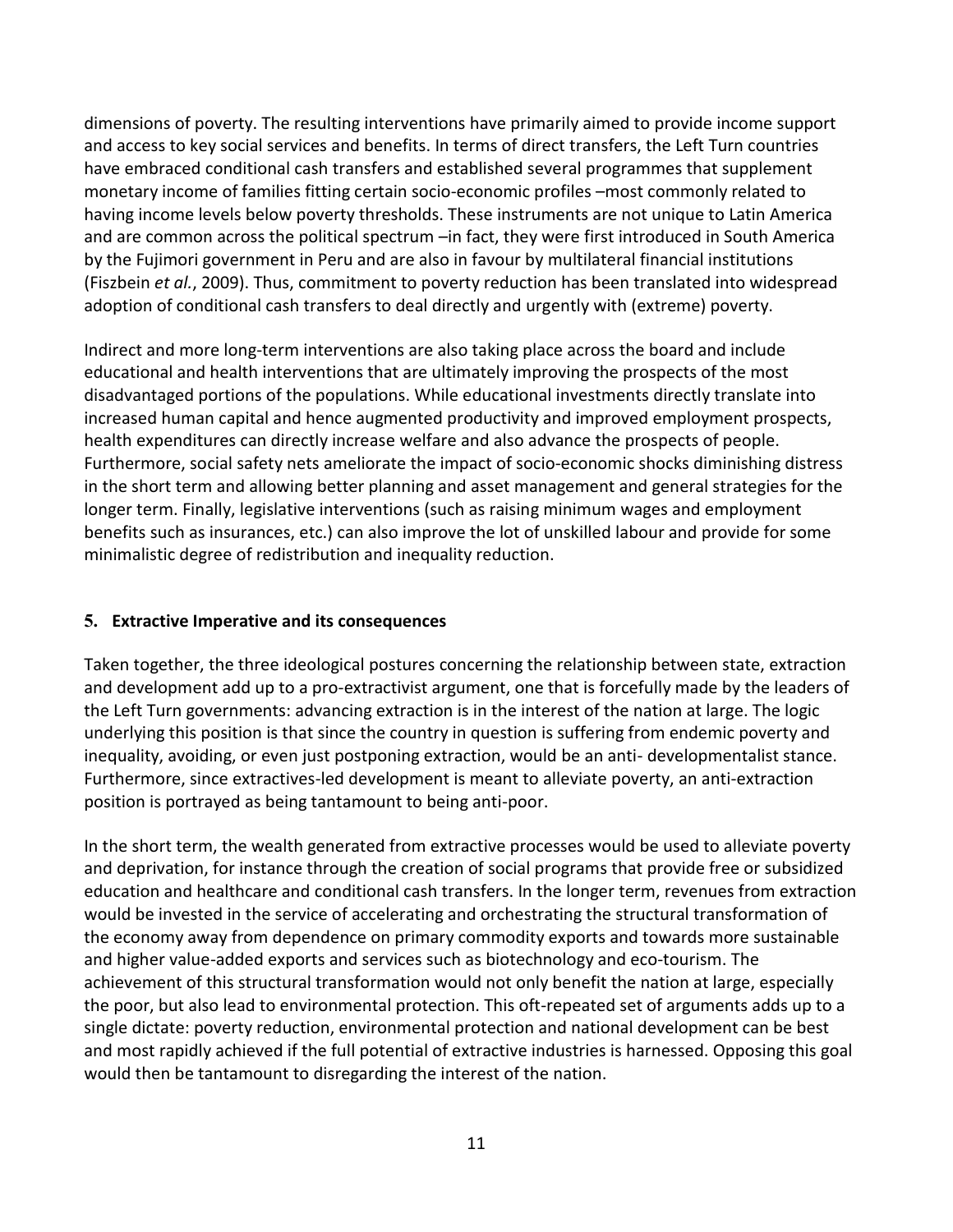dimensions of poverty. The resulting interventions have primarily aimed to provide income support and access to key social services and benefits. In terms of direct transfers, the Left Turn countries have embraced conditional cash transfers and established several programmes that supplement monetary income of families fitting certain socio‐economic profiles –most commonly related to having income levels below poverty thresholds. These instruments are not unique to Latin America and are common across the political spectrum –in fact, they were first introduced in South America by the Fujimori government in Peru and are also in favour by multilateral financial institutions (Fiszbein *et al.*, 2009). Thus, commitment to poverty reduction has been translated into widespread adoption of conditional cash transfers to deal directly and urgently with (extreme) poverty.

Indirect and more long‐term interventions are also taking place across the board and include educational and health interventions that are ultimately improving the prospects of the most disadvantaged portions of the populations. While educational investments directly translate into increased human capital and hence augmented productivity and improved employment prospects, health expenditures can directly increase welfare and also advance the prospects of people. Furthermore, social safety nets ameliorate the impact of socio-economic shocks diminishing distress in the short term and allowing better planning and asset management and general strategies for the longer term. Finally, legislative interventions (such as raising minimum wages and employment benefits such as insurances, etc.) can also improve the lot of unskilled labour and provide for some minimalistic degree of redistribution and inequality reduction.

## **5. Extractive Imperative and its consequences**

Taken together, the three ideological postures concerning the relationship between state, extraction and development add up to a pro-extractivist argument, one that is forcefully made by the leaders of the Left Turn governments: advancing extraction is in the interest of the nation at large. The logic underlying this position is that since the country in question is suffering from endemic poverty and inequality, avoiding, or even just postponing extraction, would be an anti-developmentalist stance. Furthermore, since extractives‐led development is meant to alleviate poverty, an anti‐extraction position is portrayed as being tantamount to being anti‐poor.

In the short term, the wealth generated from extractive processes would be used to alleviate poverty and deprivation, for instance through the creation of social programs that provide free or subsidized education and healthcare and conditional cash transfers. In the longer term, revenues from extraction would be invested in the service of accelerating and orchestrating the structural transformation of the economy away from dependence on primary commodity exports and towards more sustainable and higher value-added exports and services such as biotechnology and eco-tourism. The achievement of this structural transformation would not only benefit the nation at large, especially the poor, but also lead to environmental protection. This oft‐repeated set of arguments adds up to a single dictate: poverty reduction, environmental protection and national development can be best and most rapidly achieved if the full potential of extractive industries is harnessed. Opposing this goal would then be tantamount to disregarding the interest of the nation.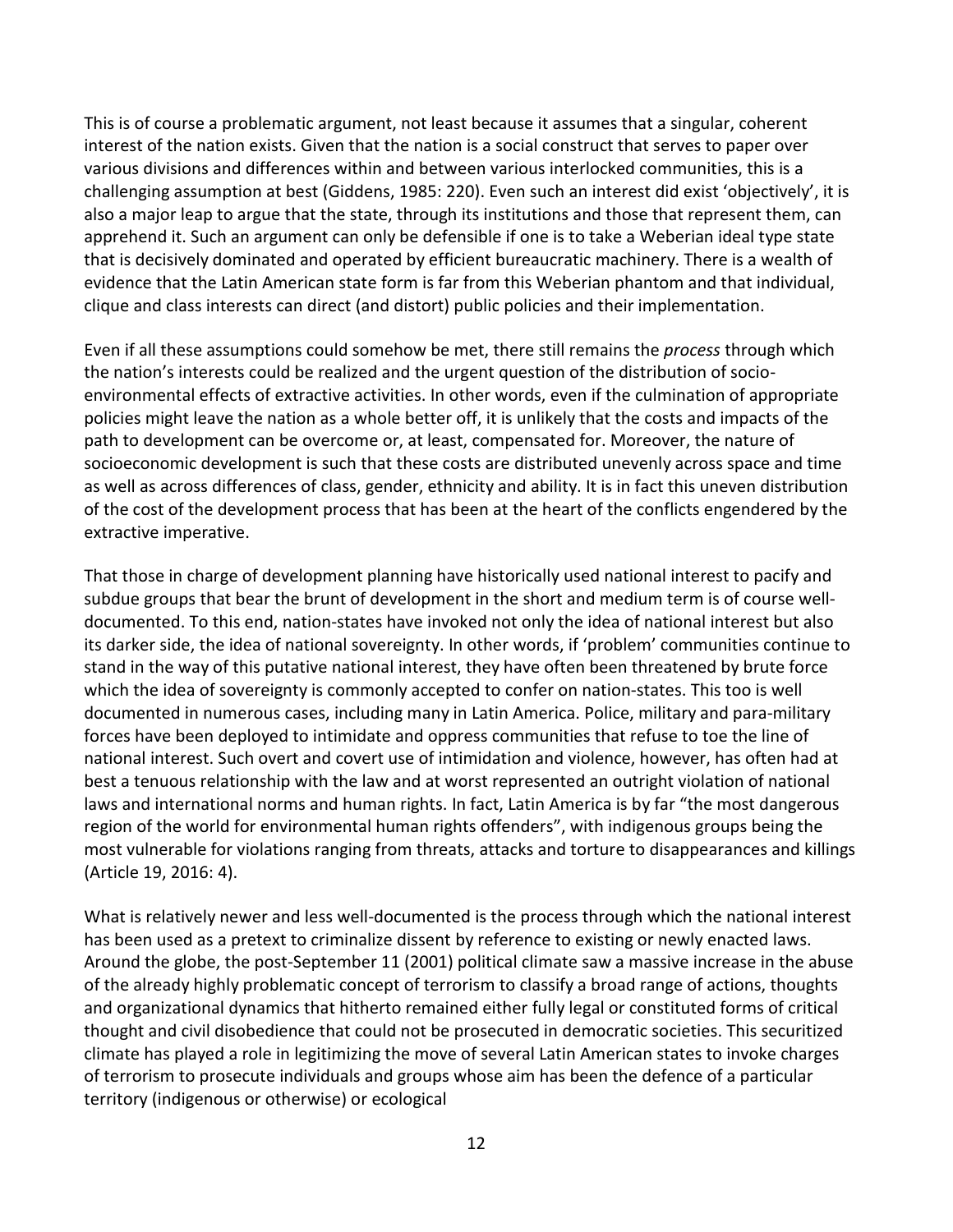This is of course a problematic argument, not least because it assumes that a singular, coherent interest of the nation exists. Given that the nation is a social construct that serves to paper over various divisions and differences within and between various interlocked communities, this is a challenging assumption at best (Giddens, 1985: 220). Even such an interest did exist 'objectively', it is also a major leap to argue that the state, through its institutions and those that represent them, can apprehend it. Such an argument can only be defensible if one is to take a Weberian ideal type state that is decisively dominated and operated by efficient bureaucratic machinery. There is a wealth of evidence that the Latin American state form is far from this Weberian phantom and that individual, clique and class interests can direct (and distort) public policies and their implementation.

Even if all these assumptions could somehow be met, there still remains the *process* through which the nation's interests could be realized and the urgent question of the distribution of socio‐ environmental effects of extractive activities. In other words, even if the culmination of appropriate policies might leave the nation as a whole better off, it is unlikely that the costs and impacts of the path to development can be overcome or, at least, compensated for. Moreover, the nature of socioeconomic development is such that these costs are distributed unevenly across space and time as well as across differences of class, gender, ethnicity and ability. It is in fact this uneven distribution of the cost of the development process that has been at the heart of the conflicts engendered by the extractive imperative.

That those in charge of development planning have historically used national interest to pacify and subdue groups that bear the brunt of development in the short and medium term is of course well‐ documented. To this end, nation‐states have invoked not only the idea of national interest but also its darker side, the idea of national sovereignty. In other words, if 'problem' communities continue to stand in the way of this putative national interest, they have often been threatened by brute force which the idea of sovereignty is commonly accepted to confer on nation-states. This too is well documented in numerous cases, including many in Latin America. Police, military and para‐military forces have been deployed to intimidate and oppress communities that refuse to toe the line of national interest. Such overt and covert use of intimidation and violence, however, has often had at best a tenuous relationship with the law and at worst represented an outright violation of national laws and international norms and human rights. In fact, Latin America is by far "the most dangerous region of the world for environmental human rights offenders", with indigenous groups being the most vulnerable for violations ranging from threats, attacks and torture to disappearances and killings (Article 19, 2016: 4).

What is relatively newer and less well-documented is the process through which the national interest has been used as a pretext to criminalize dissent by reference to existing or newly enacted laws. Around the globe, the post‐September 11 (2001) political climate saw a massive increase in the abuse of the already highly problematic concept of terrorism to classify a broad range of actions, thoughts and organizational dynamics that hitherto remained either fully legal or constituted forms of critical thought and civil disobedience that could not be prosecuted in democratic societies. This securitized climate has played a role in legitimizing the move of several Latin American states to invoke charges of terrorism to prosecute individuals and groups whose aim has been the defence of a particular territory (indigenous or otherwise) or ecological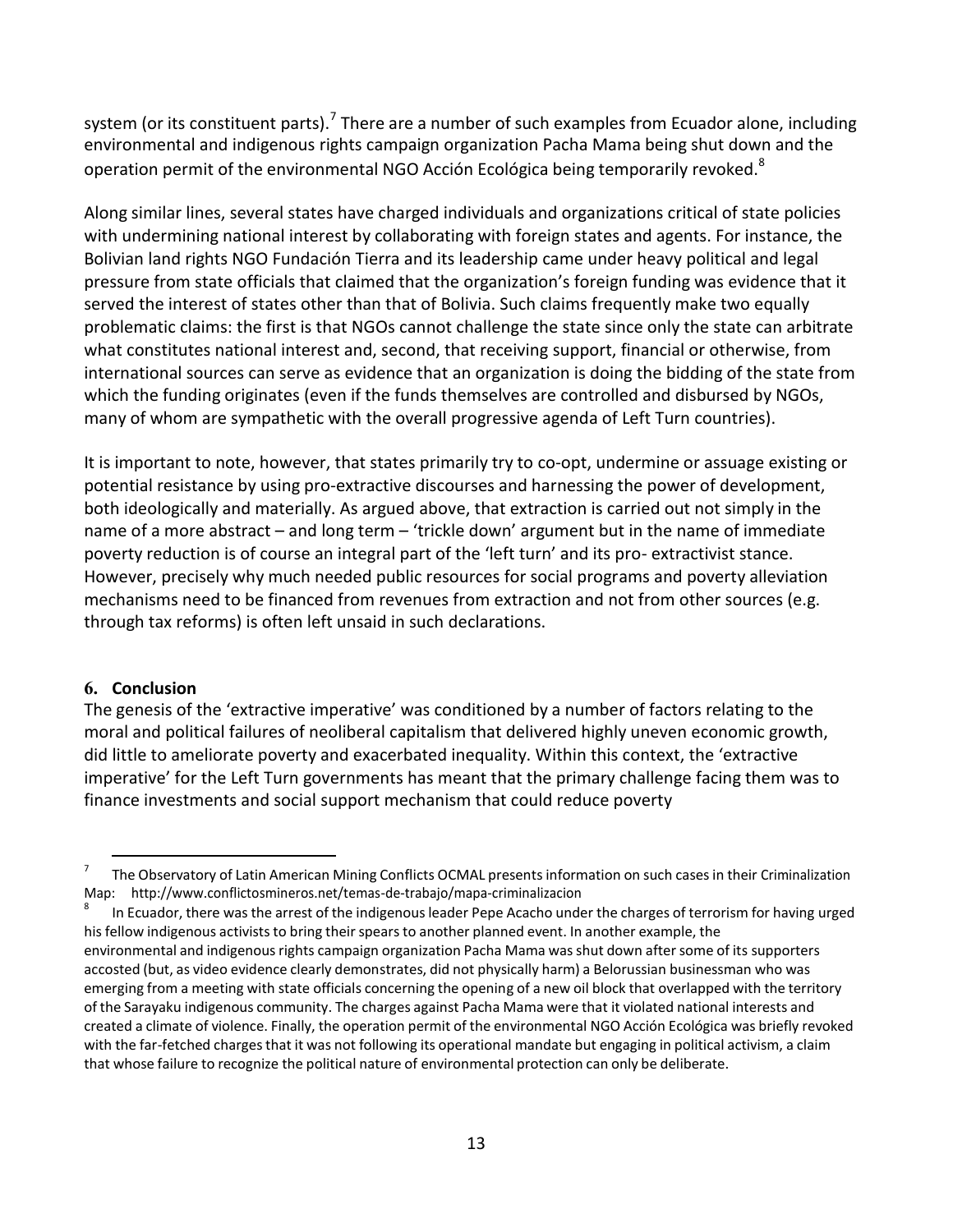system (or its constituent parts).<sup>7</sup> There are a number of such examples from Ecuador alone, including environmental and indigenous rights campaign organization Pacha Mama being shut down and the operation permit of the environmental NGO Acción Ecológica being temporarily revoked.<sup>8</sup>

Along similar lines, several states have charged individuals and organizations critical of state policies with undermining national interest by collaborating with foreign states and agents. For instance, the Bolivian land rights NGO Fundación Tierra and its leadership came under heavy political and legal pressure from state officials that claimed that the organization's foreign funding was evidence that it served the interest of states other than that of Bolivia. Such claims frequently make two equally problematic claims: the first is that NGOs cannot challenge the state since only the state can arbitrate what constitutes national interest and, second, that receiving support, financial or otherwise, from international sources can serve as evidence that an organization is doing the bidding of the state from which the funding originates (even if the funds themselves are controlled and disbursed by NGOs, many of whom are sympathetic with the overall progressive agenda of Left Turn countries).

It is important to note, however, that states primarily try to co‐opt, undermine or assuage existing or potential resistance by using pro‐extractive discourses and harnessing the power of development, both ideologically and materially. As argued above, that extraction is carried out not simply in the name of a more abstract – and long term – 'trickle down' argument but in the name of immediate poverty reduction is of course an integral part of the 'left turn' and its pro‐ extractivist stance. However, precisely why much needed public resources for social programs and poverty alleviation mechanisms need to be financed from revenues from extraction and not from other sources (e.g. through tax reforms) is often left unsaid in such declarations.

## **6. Conclusion**

The genesis of the 'extractive imperative' was conditioned by a number of factors relating to the moral and political failures of neoliberal capitalism that delivered highly uneven economic growth, did little to ameliorate poverty and exacerbated inequality. Within this context, the 'extractive imperative' for the Left Turn governments has meant that the primary challenge facing them was to finance investments and social support mechanism that could reduce poverty

<sup>&</sup>lt;sup>7</sup> The Observatory of Latin American Mining Conflicts OCMAL presents information on such cases in their Criminalization Map: http://www.conflictosmineros.net/temas-de-trabajo/mapa-criminalizacion

In Ecuador, there was the arrest of the indigenous leader Pepe Acacho under the charges of terrorism for having urged his fellow indigenous activists to bring their spears to another planned event. In another example, the environmental and indigenous rights campaign organization Pacha Mama was shut down after some of its supporters accosted (but, as video evidence clearly demonstrates, did not physically harm) a Belorussian businessman who was emerging from a meeting with state officials concerning the opening of a new oil block that overlapped with the territory of the Sarayaku indigenous community. The charges against Pacha Mama were that it violated national interests and created a climate of violence. Finally, the operation permit of the environmental NGO Acción Ecológica was briefly revoked with the far-fetched charges that it was not following its operational mandate but engaging in political activism, a claim that whose failure to recognize the political nature of environmental protection can only be deliberate.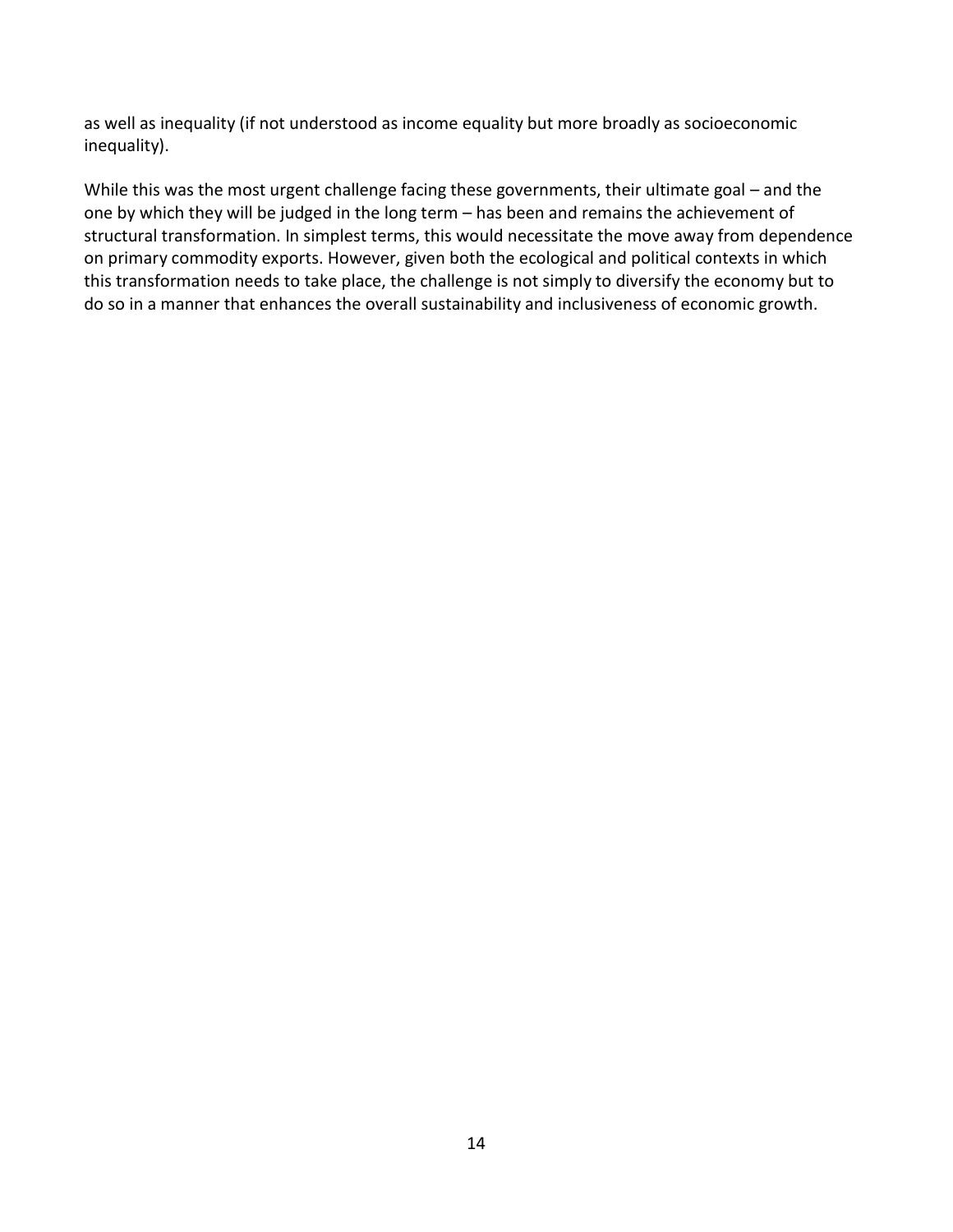as well as inequality (if not understood as income equality but more broadly as socioeconomic inequality).

While this was the most urgent challenge facing these governments, their ultimate goal – and the one by which they will be judged in the long term – has been and remains the achievement of structural transformation. In simplest terms, this would necessitate the move away from dependence on primary commodity exports. However, given both the ecological and political contexts in which this transformation needs to take place, the challenge is not simply to diversify the economy but to do so in a manner that enhances the overall sustainability and inclusiveness of economic growth.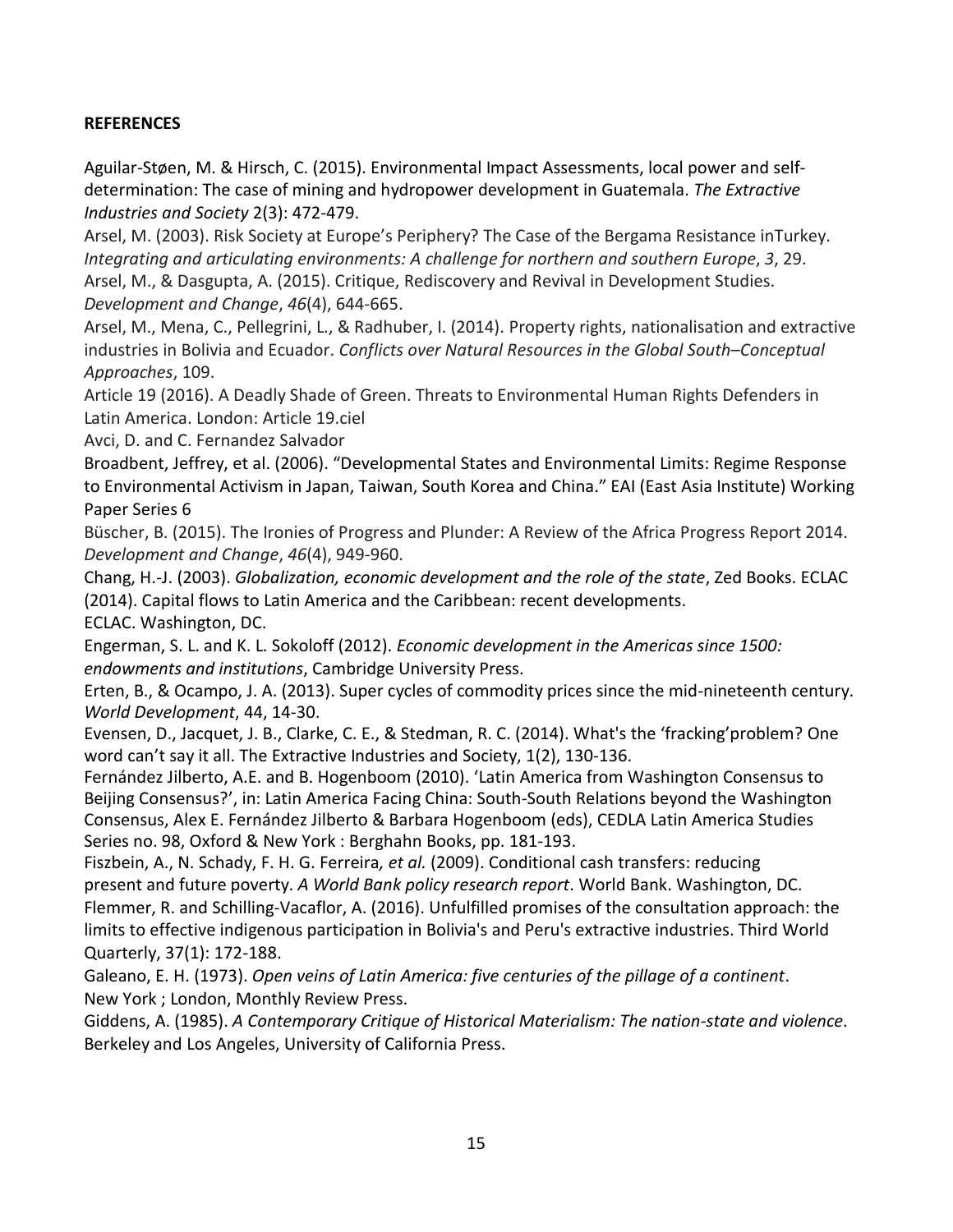## **REFERENCES**

Aguilar‐Støen, M. & Hirsch, C. (2015). Environmental Impact Assessments, local power and self‐ determination: The case of mining and hydropower development in Guatemala. *The Extractive Industries and Society* 2(3): 472‐479.

Arsel, M. (2003). Risk Society at Europe's Periphery? The Case of the Bergama Resistance inTurkey. *Integrating and articulating environments: A challenge for northern and southern Europe*, *3*, 29. Arsel, M., & Dasgupta, A. (2015). Critique, Rediscovery and Revival in Development Studies. *Development and Change*, *46*(4), 644‐665.

Arsel, M., Mena, C., Pellegrini, L., & Radhuber, I. (2014). Property rights, nationalisation and extractive industries in Bolivia and Ecuador. *Conflicts over Natural Resources in the Global South–Conceptual Approaches*, 109.

Article 19 (2016). A Deadly Shade of Green. Threats to Environmental Human Rights Defenders in Latin America. London: Article 19.ciel

Avci, D. and C. Fernandez Salvador

Broadbent, Jeffrey, et al. (2006). "Developmental States and Environmental Limits: Regime Response to Environmental Activism in Japan, Taiwan, South Korea and China." EAI (East Asia Institute) Working Paper Series 6

Büscher, B. (2015). The Ironies of Progress and Plunder: A Review of the Africa Progress Report 2014. *Development and Change*, *46*(4), 949‐960.

Chang, H.‐J. (2003). *Globalization, economic development and the role of the state*, Zed Books. ECLAC (2014). Capital flows to Latin America and the Caribbean: recent developments. ECLAC. Washington, DC.

Engerman, S. L. and K. L. Sokoloff (2012). *Economic development in the Americas since 1500: endowments and institutions*, Cambridge University Press.

Erten, B., & Ocampo, J. A. (2013). Super cycles of commodity prices since the mid-nineteenth century. *World Development*, 44, 14‐30.

Evensen, D., Jacquet, J. B., Clarke, C. E., & Stedman, R. C. (2014). What's the 'fracking'problem? One word can't say it all. The Extractive Industries and Society, 1(2), 130‐136.

Fernández Jilberto, A.E. and B. Hogenboom (2010). 'Latin America from Washington Consensus to Beijing Consensus?', in: Latin America Facing China: South‐South Relations beyond the Washington Consensus, Alex E. Fernández Jilberto & Barbara Hogenboom (eds), CEDLA Latin America Studies Series no. 98, Oxford & New York : Berghahn Books, pp. 181‐193.

Fiszbein, A., N. Schady, F. H. G. Ferreira*, et al.* (2009). Conditional cash transfers: reducing present and future poverty. *A World Bank policy research report*. World Bank. Washington, DC. Flemmer, R. and Schilling‐Vacaflor, A. (2016). Unfulfilled promises of the consultation approach: the limits to effective indigenous participation in Bolivia's and Peru's extractive industries. Third World Quarterly, 37(1): 172‐188.

Galeano, E. H. (1973). *Open veins of Latin America: five centuries of the pillage of a continent*. New York ; London, Monthly Review Press.

Giddens, A. (1985). *A Contemporary Critique of Historical Materialism: The nation‐state and violence*. Berkeley and Los Angeles, University of California Press.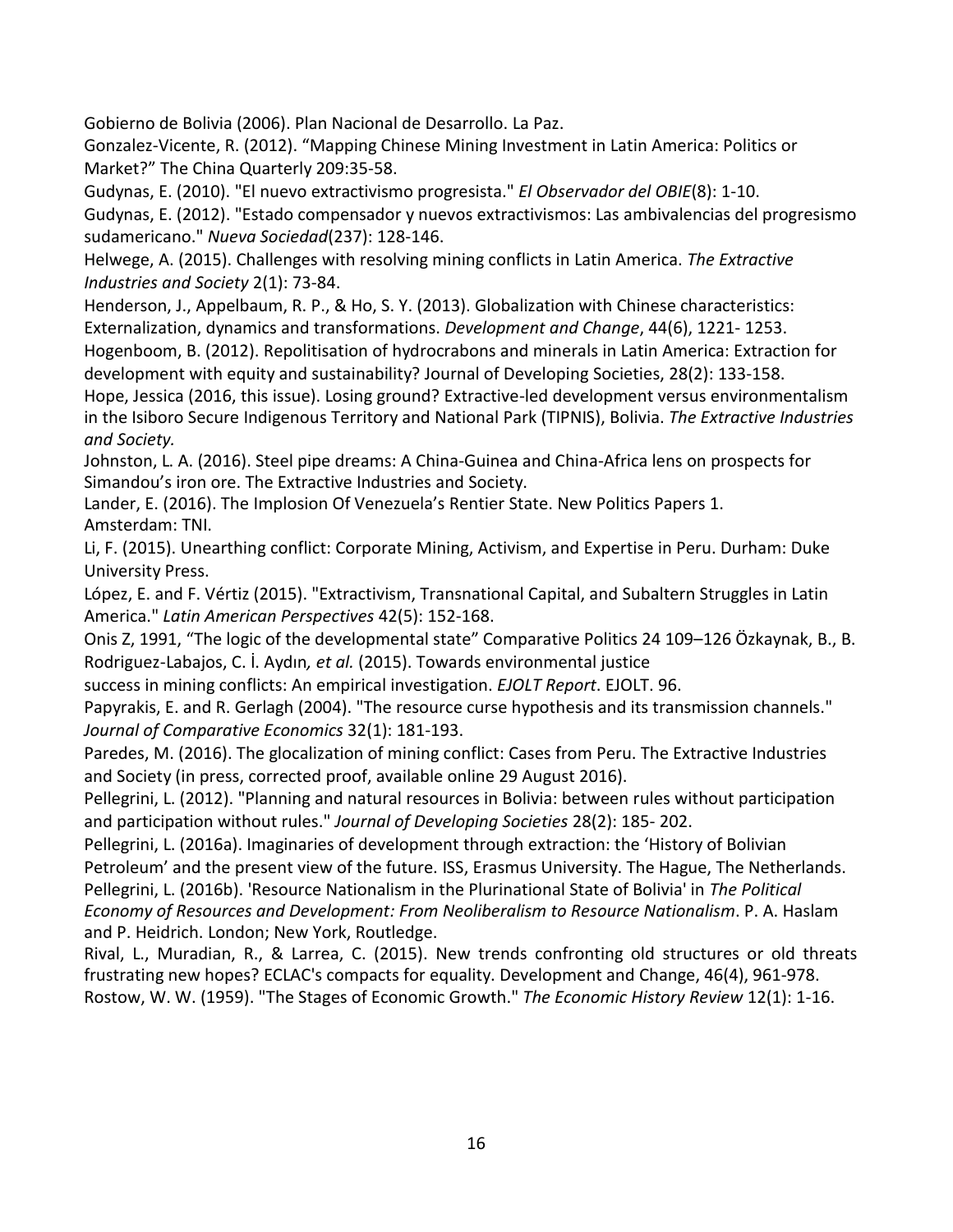Gobierno de Bolivia (2006). Plan Nacional de Desarrollo. La Paz.

Gonzalez‐Vicente, R. (2012). "Mapping Chinese Mining Investment in Latin America: Politics or Market?" The China Quarterly 209:35‐58.

Gudynas, E. (2010). "El nuevo extractivismo progresista." *El Observador del OBIE*(8): 1‐10.

Gudynas, E. (2012). "Estado compensador y nuevos extractivismos: Las ambivalencias del progresismo sudamericano." *Nueva Sociedad*(237): 128‐146.

Helwege, A. (2015). Challenges with resolving mining conflicts in Latin America. *The Extractive Industries and Society* 2(1): 73‐84.

Henderson, J., Appelbaum, R. P., & Ho, S. Y. (2013). Globalization with Chinese characteristics: Externalization, dynamics and transformations. *Development and Change*, 44(6), 1221‐ 1253.

Hogenboom, B. (2012). Repolitisation of hydrocrabons and minerals in Latin America: Extraction for development with equity and sustainability? Journal of Developing Societies, 28(2): 133‐158.

Hope, Jessica (2016, this issue). Losing ground? Extractive‐led development versus environmentalism in the Isiboro Secure Indigenous Territory and National Park (TIPNIS), Bolivia. *The Extractive Industries and Society.*

Johnston, L. A. (2016). Steel pipe dreams: A China‐Guinea and China‐Africa lens on prospects for Simandou's iron ore. The Extractive Industries and Society.

Lander, E. (2016). The Implosion Of Venezuela's Rentier State. New Politics Papers 1. Amsterdam: TNI.

Li, F. (2015). Unearthing conflict: Corporate Mining, Activism, and Expertise in Peru. Durham: Duke University Press.

López, E. and F. Vértiz (2015). "Extractivism, Transnational Capital, and Subaltern Struggles in Latin America." *Latin American Perspectives* 42(5): 152‐168.

Onis Z, 1991, "The logic of the developmental state" Comparative Politics 24 109–126 Özkaynak, B., B. Rodriguez‐Labajos, C. İ. Aydın*, et al.* (2015). Towards environmental justice

success in mining conflicts: An empirical investigation. *EJOLT Report*. EJOLT. 96.

Papyrakis, E. and R. Gerlagh (2004). "The resource curse hypothesis and its transmission channels." *Journal of Comparative Economics* 32(1): 181‐193.

Paredes, M. (2016). The glocalization of mining conflict: Cases from Peru. The Extractive Industries and Society (in press, corrected proof, available online 29 August 2016).

Pellegrini, L. (2012). "Planning and natural resources in Bolivia: between rules without participation and participation without rules." *Journal of Developing Societies* 28(2): 185‐ 202.

Pellegrini, L. (2016a). Imaginaries of development through extraction: the 'History of Bolivian Petroleum' and the present view of the future. ISS, Erasmus University. The Hague, The Netherlands. Pellegrini, L. (2016b). 'Resource Nationalism in the Plurinational State of Bolivia' in *The Political Economy of Resources and Development: From Neoliberalism to Resource Nationalism*. P. A. Haslam and P. Heidrich. London; New York, Routledge.

Rival, L., Muradian, R., & Larrea, C. (2015). New trends confronting old structures or old threats frustrating new hopes? ECLAC's compacts for equality. Development and Change, 46(4), 961‐978. Rostow, W. W. (1959). "The Stages of Economic Growth." *The Economic History Review* 12(1): 1‐16.